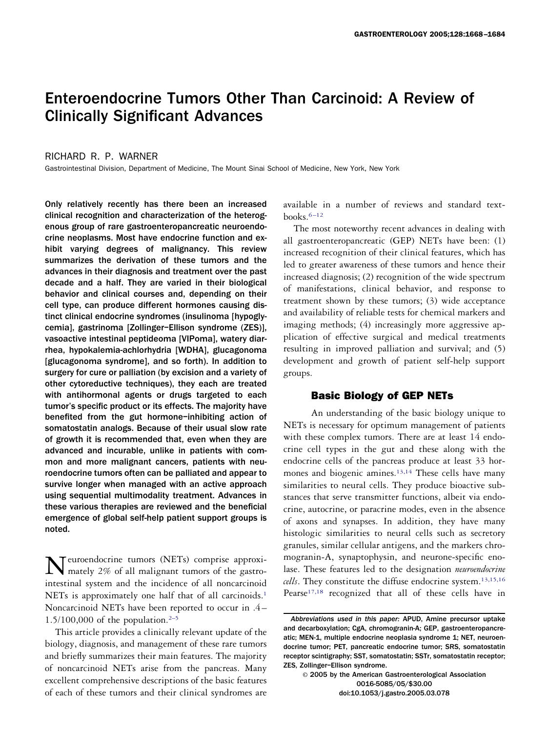# Enteroendocrine Tumors Other Than Carcinoid: A Review of Clinically Significant Advances

## RICHARD R. P. WARNER

Gastrointestinal Division, Department of Medicine, The Mount Sinai School of Medicine, New York, New York

Only relatively recently has there been an increased clinical recognition and characterization of the heterogenous group of rare gastroenteropancreatic neuroendocrine neoplasms. Most have endocrine function and exhibit varying degrees of malignancy. This review summarizes the derivation of these tumors and the advances in their diagnosis and treatment over the past decade and a half. They are varied in their biological behavior and clinical courses and, depending on their cell type, can produce different hormones causing distinct clinical endocrine syndromes (insulinoma [hypoglycemia], gastrinoma [Zollinger–Ellison syndrome (ZES)], vasoactive intestinal peptideoma [VIPoma], watery diarrhea, hypokalemia-achlorhydria [WDHA], glucagonoma [glucagonoma syndrome], and so forth). In addition to surgery for cure or palliation (by excision and a variety of other cytoreductive techniques), they each are treated with antihormonal agents or drugs targeted to each tumor's specific product or its effects. The majority have benefited from the gut hormone–inhibiting action of somatostatin analogs. Because of their usual slow rate of growth it is recommended that, even when they are advanced and incurable, unlike in patients with common and more malignant cancers, patients with neuroendocrine tumors often can be palliated and appear to survive longer when managed with an active approach using sequential multimodality treatment. Advances in these various therapies are reviewed and the beneficial emergence of global self-help patient support groups is noted.

Neuroendocrine tumors (NETs) comprise approxi-mately 2% of all malignant tumors of the gastrointestinal system and the incidence of all noncarcinoid NETs is approximately one half that of all carcinoids.<sup>1</sup> Noncarcinoid NETs have been reported to occur in .4–  $1.5/100,000$  of the population.<sup>2–5</sup>

This article provides a clinically relevant update of the biology, diagnosis, and management of these rare tumors and briefly summarizes their main features. The majority of noncarcinoid NETs arise from the pancreas. Many excellent comprehensive descriptions of the basic features of each of these tumors and their clinical syndromes are available in a number of reviews and standard textbooks. $6-12$ 

The most noteworthy recent advances in dealing with all gastroenteropancreatic (GEP) NETs have been: (1) increased recognition of their clinical features, which has led to greater awareness of these tumors and hence their increased diagnosis; (2) recognition of the wide spectrum of manifestations, clinical behavior, and response to treatment shown by these tumors; (3) wide acceptance and availability of reliable tests for chemical markers and imaging methods; (4) increasingly more aggressive application of effective surgical and medical treatments resulting in improved palliation and survival; and (5) development and growth of patient self-help support groups.

# Basic Biology of GEP NETs

An understanding of the basic biology unique to NETs is necessary for optimum management of patients with these complex tumors. There are at least 14 endocrine cell types in the gut and these along with the endocrine cells of the pancreas produce at least 33 hormones and biogenic amines.<sup>13,14</sup> These cells have many similarities to neural cells. They produce bioactive substances that serve transmitter functions, albeit via endocrine, autocrine, or paracrine modes, even in the absence of axons and synapses. In addition, they have many histologic similarities to neural cells such as secretory granules, similar cellular antigens, and the markers chromogranin-A, synaptophysin, and neurone-specific enolase. These features led to the designation *neuroendocrine cells*. They constitute the diffuse endocrine system[.13,15,16](#page-11-0) Pearse<sup>17,18</sup> recognized that all of these cells have in

*Abbreviations used in this paper:* APUD, Amine precursor uptake and decarboxylation; CgA, chromogranin-A; GEP, gastroenteropancreatic; MEN-1, multiple endocrine neoplasia syndrome 1; NET, neuroendocrine tumor; PET, pancreatic endocrine tumor; SRS, somatostatin receptor scintigraphy; SST, somatostatin; SSTr, somatostatin receptor; ZES, Zollinger–Ellison syndrome.

<sup>©</sup> 2005 by the American Gastroenterological Association 0016-5085/05/\$30.00 doi:10.1053/j.gastro.2005.03.078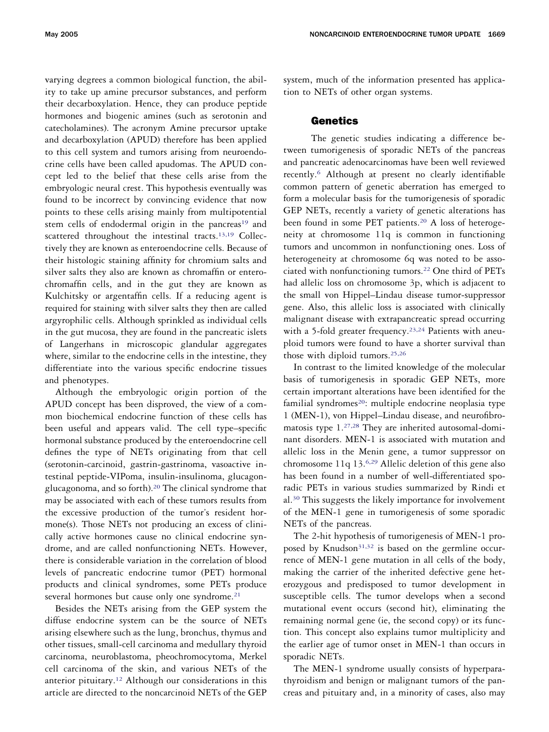varying degrees a common biological function, the ability to take up amine precursor substances, and perform their decarboxylation. Hence, they can produce peptide hormones and biogenic amines (such as serotonin and catecholamines). The acronym Amine precursor uptake and decarboxylation (APUD) therefore has been applied to this cell system and tumors arising from neuroendocrine cells have been called apudomas. The APUD concept led to the belief that these cells arise from the embryologic neural crest. This hypothesis eventually was found to be incorrect by convincing evidence that now points to these cells arising mainly from multipotential stem cells of endodermal origin in the pancreas<sup>19</sup> and scattered throughout the intestinal tracts.<sup>13,19</sup> Collectively they are known as enteroendocrine cells. Because of their histologic staining affinity for chromium salts and silver salts they also are known as chromaffin or enterochromaffin cells, and in the gut they are known as Kulchitsky or argentaffin cells. If a reducing agent is required for staining with silver salts they then are called argyrophilic cells. Although sprinkled as individual cells in the gut mucosa, they are found in the pancreatic islets of Langerhans in microscopic glandular aggregates where, similar to the endocrine cells in the intestine, they differentiate into the various specific endocrine tissues and phenotypes.

Although the embryologic origin portion of the APUD concept has been disproved, the view of a common biochemical endocrine function of these cells has been useful and appears valid. The cell type–specific hormonal substance produced by the enteroendocrine cell defines the type of NETs originating from that cell (serotonin-carcinoid, gastrin-gastrinoma, vasoactive intestinal peptide-VIPoma, insulin-insulinoma, glucagonglucagonoma, and so forth)[.20](#page-11-0) The clinical syndrome that may be associated with each of these tumors results from the excessive production of the tumor's resident hormone(s). Those NETs not producing an excess of clinically active hormones cause no clinical endocrine syndrome, and are called nonfunctioning NETs. However, there is considerable variation in the correlation of blood levels of pancreatic endocrine tumor (PET) hormonal products and clinical syndromes, some PETs produce several hormones but cause only one syndrome.<sup>21</sup>

Besides the NETs arising from the GEP system the diffuse endocrine system can be the source of NETs arising elsewhere such as the lung, bronchus, thymus and other tissues, small-cell carcinoma and medullary thyroid carcinoma, neuroblastoma, pheochromocytoma, Merkel cell carcinoma of the skin, and various NETs of the anterior pituitary[.12](#page-11-0) Although our considerations in this article are directed to the noncarcinoid NETs of the GEP system, much of the information presented has application to NETs of other organ systems.

# Genetics

The genetic studies indicating a difference between tumorigenesis of sporadic NETs of the pancreas and pancreatic adenocarcinomas have been well reviewed recently[.6](#page-11-0) Although at present no clearly identifiable common pattern of genetic aberration has emerged to form a molecular basis for the tumorigenesis of sporadic GEP NETs, recently a variety of genetic alterations has been found in some PET patients.<sup>20</sup> A loss of heterogeneity at chromosome 11q is common in functioning tumors and uncommon in nonfunctioning ones. Loss of heterogeneity at chromosome 6q was noted to be associated with nonfunctioning tumors[.22](#page-11-0) One third of PETs had allelic loss on chromosome 3p, which is adjacent to the small von Hippel–Lindau disease tumor-suppressor gene. Also, this allelic loss is associated with clinically malignant disease with extrapancreatic spread occurring with a 5-fold greater frequency.<sup>23,24</sup> Patients with aneuploid tumors were found to have a shorter survival than those with diploid tumors[.25,26](#page-11-0)

In contrast to the limited knowledge of the molecular basis of tumorigenesis in sporadic GEP NETs, more certain important alterations have been identified for the familial syndromes<sup>20</sup>: multiple endocrine neoplasia type 1 (MEN-1), von Hippel–Lindau disease, and neurofibromatosis type 1[.27,28](#page-11-0) They are inherited autosomal-dominant disorders. MEN-1 is associated with mutation and allelic loss in the Menin gene, a tumor suppressor on chromosome 11q 13[.6,29](#page-11-0) Allelic deletion of this gene also has been found in a number of well-differentiated sporadic PETs in various studies summarized by Rindi et al[.30](#page-11-0) This suggests the likely importance for involvement of the MEN-1 gene in tumorigenesis of some sporadic NETs of the pancreas.

The 2-hit hypothesis of tumorigenesis of MEN-1 proposed by Knudson<sup>31,32</sup> is based on the germline occurrence of MEN-1 gene mutation in all cells of the body, making the carrier of the inherited defective gene heterozygous and predisposed to tumor development in susceptible cells. The tumor develops when a second mutational event occurs (second hit), eliminating the remaining normal gene (ie, the second copy) or its function. This concept also explains tumor multiplicity and the earlier age of tumor onset in MEN-1 than occurs in sporadic NETs.

The MEN-1 syndrome usually consists of hyperparathyroidism and benign or malignant tumors of the pancreas and pituitary and, in a minority of cases, also may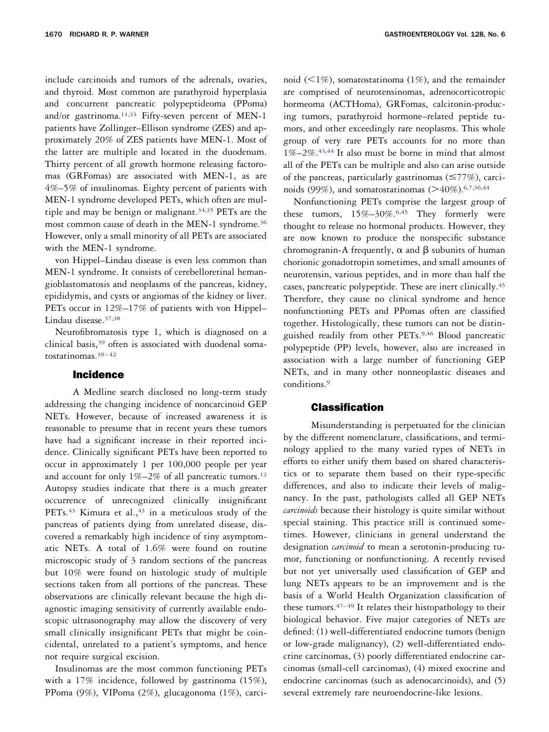include carcinoids and tumors of the adrenals, ovaries, and thyroid. Most common are parathyroid hyperplasia and concurrent pancreatic polypeptideoma (PPoma) and/or gastrinoma.<sup>11,33</sup> Fifty-seven percent of MEN-1 patients have Zollinger–Ellison syndrome (ZES) and approximately 20% of ZES patients have MEN-1. Most of the latter are multiple and located in the duodenum. Thirty percent of all growth hormone releasing factoromas (GRFomas) are associated with MEN-1, as are 4%–5% of insulinomas. Eighty percent of patients with MEN-1 syndrome developed PETs, which often are multiple and may be benign or malignant.<sup>34,35</sup> PETs are the most common cause of death in the MEN-1 syndrome[.36](#page-11-0) However, only a small minority of all PETs are associated with the MEN-1 syndrome.

von Hippel–Lindau disease is even less common than MEN-1 syndrome. It consists of cerebelloretinal hemangioblastomatosis and neoplasms of the pancreas, kidney, epididymis, and cysts or angiomas of the kidney or liver. PETs occur in 12%–17% of patients with von Hippel– Lindau disease[.37,38](#page-11-0)

Neurofibromatosis type 1, which is diagnosed on a clinical basis[,39](#page-11-0) often is associated with duodenal somatostatinomas[.39–42](#page-11-0)

#### Incidence

A Medline search disclosed no long-term study addressing the changing incidence of noncarcinoid GEP NETs. However, because of increased awareness it is reasonable to presume that in recent years these tumors have had a significant increase in their reported incidence. Clinically significant PETs have been reported to occur in approximately 1 per 100,000 people per year and account for only  $1\%-2\%$  of all pancreatic tumors.<sup>12</sup> Autopsy studies indicate that there is a much greater occurrence of unrecognized clinically insignificant PETs.<sup>43</sup> Kimura et al.,<sup>43</sup> in a meticulous study of the pancreas of patients dying from unrelated disease, discovered a remarkably high incidence of tiny asymptomatic NETs. A total of 1.6% were found on routine microscopic study of 3 random sections of the pancreas but 10% were found on histologic study of multiple sections taken from all portions of the pancreas. These observations are clinically relevant because the high diagnostic imaging sensitivity of currently available endoscopic ultrasonography may allow the discovery of very small clinically insignificant PETs that might be coincidental, unrelated to a patient's symptoms, and hence not require surgical excision.

Insulinomas are the most common functioning PETs with a 17% incidence, followed by gastrinoma (15%), PPoma (9%), VIPoma (2%), glucagonoma (1%), carcinoid  $(1\%)$ , somatostatinoma (1%), and the remainder are comprised of neurotensinomas, adrenocorticotropic hormeoma (ACTHoma), GRFomas, calcitonin-producing tumors, parathyroid hormone–related peptide tumors, and other exceedingly rare neoplasms. This whole group of very rare PETs accounts for no more than 1%–2%[.43,44](#page-12-0) It also must be borne in mind that almost all of the PETs can be multiple and also can arise outside of the pancreas, particularly gastrinomas  $(\leq 77\%)$ , carcinoids (99%), and somatostatinomas  $(>\!\!40\%)$ .<sup>6,7,36,44</sup>

Nonfunctioning PETs comprise the largest group of these tumors,  $15\% - 30\%$ .<sup>6,45</sup> They formerly were thought to release no hormonal products. However, they are now known to produce the nonspecific substance chromogranin-A frequently,  $\alpha$  and  $\beta$  subunits of human chorionic gonadotropin sometimes, and small amounts of neurotensin, various peptides, and in more than half the cases, pancreatic polypeptide. These are inert clinically[.45](#page-12-0) Therefore, they cause no clinical syndrome and hence nonfunctioning PETs and PPomas often are classified together. Histologically, these tumors can not be distinguished readily from other PETs[.9,46](#page-11-0) Blood pancreatic polypeptide (PP) levels, however, also are increased in association with a large number of functioning GEP NETs, and in many other nonneoplastic diseases and conditions<sup>9</sup>

#### Classification

Misunderstanding is perpetuated for the clinician by the different nomenclature, classifications, and terminology applied to the many varied types of NETs in efforts to either unify them based on shared characteristics or to separate them based on their type-specific differences, and also to indicate their levels of malignancy. In the past, pathologists called all GEP NETs *carcinoids* because their histology is quite similar without special staining. This practice still is continued sometimes. However, clinicians in general understand the designation *carcinoid* to mean a serotonin-producing tumor, functioning or nonfunctioning. A recently revised but not yet universally used classification of GEP and lung NETs appears to be an improvement and is the basis of a World Health Organization classification of these tumors. $47-49$  It relates their histopathology to their biological behavior. Five major categories of NETs are defined: (1) well-differentiated endocrine tumors (benign or low-grade malignancy), (2) well-differentiated endocrine carcinomas, (3) poorly differentiated endocrine carcinomas (small-cell carcinomas), (4) mixed exocrine and endocrine carcinomas (such as adenocarcinoids), and (5) several extremely rare neuroendocrine-like lesions.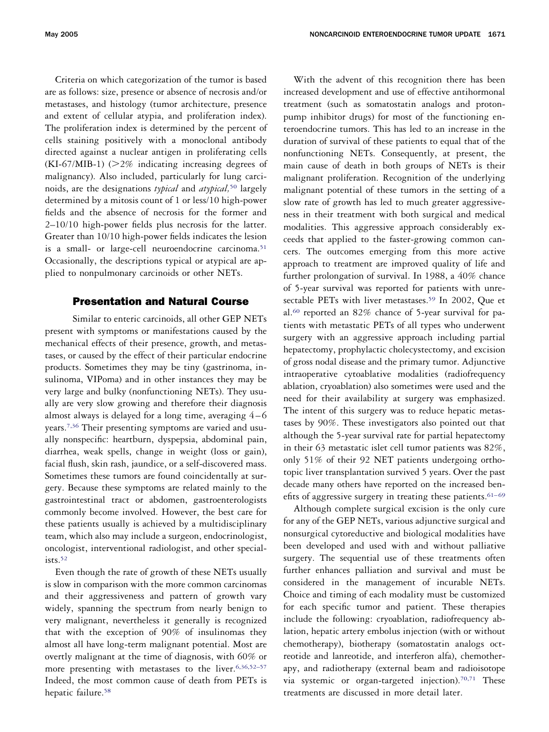Criteria on which categorization of the tumor is based are as follows: size, presence or absence of necrosis and/or metastases, and histology (tumor architecture, presence and extent of cellular atypia, and proliferation index). The proliferation index is determined by the percent of cells staining positively with a monoclonal antibody directed against a nuclear antigen in proliferating cells  $(KI-67/MIB-1)$  ( $>2\%$  indicating increasing degrees of malignancy). Also included, particularly for lung carcinoids, are the designations *typical* and *atypical,*[50](#page-12-0) largely determined by a mitosis count of 1 or less/10 high-power fields and the absence of necrosis for the former and 2–10/10 high-power fields plus necrosis for the latter. Greater than 10/10 high-power fields indicates the lesion is a small- or large-cell neuroendocrine carcinoma.<sup>51</sup> Occasionally, the descriptions typical or atypical are applied to nonpulmonary carcinoids or other NETs.

# Presentation and Natural Course

Similar to enteric carcinoids, all other GEP NETs present with symptoms or manifestations caused by the mechanical effects of their presence, growth, and metastases, or caused by the effect of their particular endocrine products. Sometimes they may be tiny (gastrinoma, insulinoma, VIPoma) and in other instances they may be very large and bulky (nonfunctioning NETs). They usually are very slow growing and therefore their diagnosis almost always is delayed for a long time, averaging 4–6 years[.7,36](#page-11-0) Their presenting symptoms are varied and usually nonspecific: heartburn, dyspepsia, abdominal pain, diarrhea, weak spells, change in weight (loss or gain), facial flush, skin rash, jaundice, or a self-discovered mass. Sometimes these tumors are found coincidentally at surgery. Because these symptoms are related mainly to the gastrointestinal tract or abdomen, gastroenterologists commonly become involved. However, the best care for these patients usually is achieved by a multidisciplinary team, which also may include a surgeon, endocrinologist, oncologist, interventional radiologist, and other specialists[.52](#page-12-0)

Even though the rate of growth of these NETs usually is slow in comparison with the more common carcinomas and their aggressiveness and pattern of growth vary widely, spanning the spectrum from nearly benign to very malignant, nevertheless it generally is recognized that with the exception of 90% of insulinomas they almost all have long-term malignant potential. Most are overtly malignant at the time of diagnosis, with 60% or more presenting with metastases to the liver. 6,36,52-57 Indeed, the most common cause of death from PETs is hepatic failure.<sup>58</sup>

With the advent of this recognition there has been increased development and use of effective antihormonal treatment (such as somatostatin analogs and protonpump inhibitor drugs) for most of the functioning enteroendocrine tumors. This has led to an increase in the duration of survival of these patients to equal that of the nonfunctioning NETs. Consequently, at present, the main cause of death in both groups of NETs is their malignant proliferation. Recognition of the underlying malignant potential of these tumors in the setting of a slow rate of growth has led to much greater aggressiveness in their treatment with both surgical and medical modalities. This aggressive approach considerably exceeds that applied to the faster-growing common cancers. The outcomes emerging from this more active approach to treatment are improved quality of life and further prolongation of survival. In 1988, a 40% chance of 5-year survival was reported for patients with unresectable PETs with liver metastases.<sup>59</sup> In 2002, Que et al.[60](#page-12-0) reported an 82% chance of 5-year survival for patients with metastatic PETs of all types who underwent surgery with an aggressive approach including partial hepatectomy, prophylactic cholecystectomy, and excision of gross nodal disease and the primary tumor. Adjunctive intraoperative cytoablative modalities (radiofrequency ablation, cryoablation) also sometimes were used and the need for their availability at surgery was emphasized. The intent of this surgery was to reduce hepatic metastases by 90%. These investigators also pointed out that although the 5-year survival rate for partial hepatectomy in their 63 metastatic islet cell tumor patients was 82%, only 51% of their 92 NET patients undergoing orthotopic liver transplantation survived 5 years. Over the past decade many others have reported on the increased benefits of aggressive surgery in treating these patients.  $61-69$ 

Although complete surgical excision is the only cure for any of the GEP NETs, various adjunctive surgical and nonsurgical cytoreductive and biological modalities have been developed and used with and without palliative surgery. The sequential use of these treatments often further enhances palliation and survival and must be considered in the management of incurable NETs. Choice and timing of each modality must be customized for each specific tumor and patient. These therapies include the following: cryoablation, radiofrequency ablation, hepatic artery embolus injection (with or without chemotherapy), biotherapy (somatostatin analogs octreotide and lanreotide, and interferon alfa), chemotherapy, and radiotherapy (external beam and radioisotope via systemic or organ-targeted injection).<sup>70,71</sup> These treatments are discussed in more detail later.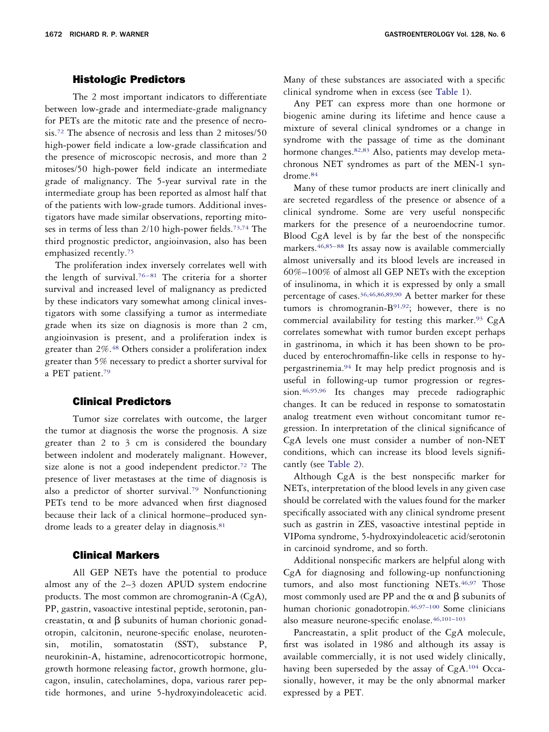## Histologic Predictors

The 2 most important indicators to differentiate between low-grade and intermediate-grade malignancy for PETs are the mitotic rate and the presence of necrosis[.72](#page-12-0) The absence of necrosis and less than 2 mitoses/50 high-power field indicate a low-grade classification and the presence of microscopic necrosis, and more than 2 mitoses/50 high-power field indicate an intermediate grade of malignancy. The 5-year survival rate in the intermediate group has been reported as almost half that of the patients with low-grade tumors. Additional investigators have made similar observations, reporting mitoses in terms of less than 2/10 high-power fields[.73,74](#page-12-0) The third prognostic predictor, angioinvasion, also has been emphasized recently[.75](#page-12-0)

The proliferation index inversely correlates well with the length of survival.<sup>76–81</sup> The criteria for a shorter survival and increased level of malignancy as predicted by these indicators vary somewhat among clinical investigators with some classifying a tumor as intermediate grade when its size on diagnosis is more than 2 cm, angioinvasion is present, and a proliferation index is greater than 2%[.48](#page-12-0) Others consider a proliferation index greater than 5% necessary to predict a shorter survival for a PET patient[.79](#page-12-0)

# Clinical Predictors

Tumor size correlates with outcome, the larger the tumor at diagnosis the worse the prognosis. A size greater than 2 to 3 cm is considered the boundary between indolent and moderately malignant. However, size alone is not a good independent predictor.<sup>[72](#page-12-0)</sup> The presence of liver metastases at the time of diagnosis is also a predictor of shorter survival[.79](#page-12-0) Nonfunctioning PETs tend to be more advanced when first diagnosed because their lack of a clinical hormone–produced syndrome leads to a greater delay in diagnosis.<sup>81</sup>

## Clinical Markers

All GEP NETs have the potential to produce almost any of the 2–3 dozen APUD system endocrine products. The most common are chromogranin-A (CgA), PP, gastrin, vasoactive intestinal peptide, serotonin, pancreastatin,  $\alpha$  and  $\beta$  subunits of human chorionic gonadotropin, calcitonin, neurone-specific enolase, neurotensin, motilin, somatostatin (SST), substance P, neurokinin-A, histamine, adrenocorticotropic hormone, growth hormone releasing factor, growth hormone, glucagon, insulin, catecholamines, dopa, various rarer peptide hormones, and urine 5-hydroxyindoleacetic acid.

Many of these substances are associated with a specific clinical syndrome when in excess (see [Table 1\)](#page-5-0).

Any PET can express more than one hormone or biogenic amine during its lifetime and hence cause a mixture of several clinical syndromes or a change in syndrome with the passage of time as the dominant hormone changes.<sup>82,83</sup> Also, patients may develop metachronous NET syndromes as part of the MEN-1 syndrome[.84](#page-13-0)

Many of these tumor products are inert clinically and are secreted regardless of the presence or absence of a clinical syndrome. Some are very useful nonspecific markers for the presence of a neuroendocrine tumor. Blood CgA level is by far the best of the nonspecific markers.<sup>46,85–88</sup> Its assay now is available commercially almost universally and its blood levels are increased in 60%–100% of almost all GEP NETs with the exception of insulinoma, in which it is expressed by only a small percentage of cases[.36,46,86,89,90](#page-11-0) A better marker for these tumors is chromogranin- $B^{91,92}$ ; however, there is no commercial availability for testing this marker.<sup>93</sup> CgA correlates somewhat with tumor burden except perhaps in gastrinoma, in which it has been shown to be produced by enterochromaffin-like cells in response to hypergastrinemia[.94](#page-13-0) It may help predict prognosis and is useful in following-up tumor progression or regression[.46,95,96](#page-12-0) Its changes may precede radiographic changes. It can be reduced in response to somatostatin analog treatment even without concomitant tumor regression. In interpretation of the clinical significance of CgA levels one must consider a number of non-NET conditions, which can increase its blood levels significantly (see [Table 2\)](#page-5-0).

Although CgA is the best nonspecific marker for NETs, interpretation of the blood levels in any given case should be correlated with the values found for the marker specifically associated with any clinical syndrome present such as gastrin in ZES, vasoactive intestinal peptide in VIPoma syndrome, 5-hydroxyindoleacetic acid/serotonin in carcinoid syndrome, and so forth.

Additional nonspecific markers are helpful along with CgA for diagnosing and following-up nonfunctioning tumors, and also most functioning NETs.<sup>46,97</sup> Those most commonly used are PP and the  $\alpha$  and  $\beta$  subunits of human chorionic gonadotropin.<sup>46,97-100</sup> Some clinicians also measure neurone-specific enolase.  $46,101-103$ 

Pancreastatin, a split product of the CgA molecule, first was isolated in 1986 and although its assay is available commercially, it is not used widely clinically, having been superseded by the assay of CgA.<sup>104</sup> Occasionally, however, it may be the only abnormal marker expressed by a PET.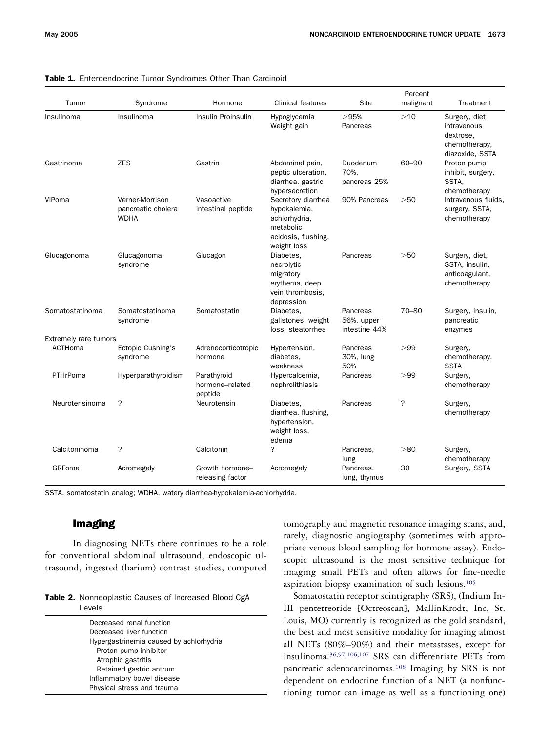| Tumor                        | Syndrome                                             | Hormone                                   | <b>Clinical features</b>                                                                               | Site                                    | Percent<br>malignant | Treatment                                                                     |
|------------------------------|------------------------------------------------------|-------------------------------------------|--------------------------------------------------------------------------------------------------------|-----------------------------------------|----------------------|-------------------------------------------------------------------------------|
| Insulinoma                   | Insulinoma                                           | Insulin Proinsulin                        | Hypoglycemia<br>Weight gain                                                                            | >95%<br>Pancreas                        | >10                  | Surgery, diet<br>intravenous<br>dextrose.<br>chemotherapy,<br>diazoxide, SSTA |
| Gastrinoma                   | <b>ZES</b>                                           | Gastrin                                   | Abdominal pain,<br>peptic ulceration,<br>diarrhea, gastric<br>hypersecretion                           | Duodenum<br>70%,<br>pancreas 25%        | 60-90                | Proton pump<br>inhibit, surgery,<br>SSTA,<br>chemotherapy                     |
| VIPoma                       | Verner-Morrison<br>pancreatic cholera<br><b>WDHA</b> | Vasoactive<br>intestinal peptide          | Secretory diarrhea<br>hypokalemia,<br>achlorhydria,<br>metabolic<br>acidosis, flushing,<br>weight loss | 90% Pancreas                            | >50                  | Intravenous fluids,<br>surgery, SSTA,<br>chemotherapy                         |
| Glucagonoma                  | Glucagonoma<br>syndrome                              | Glucagon                                  | Diabetes,<br>necrolytic<br>migratory<br>erythema, deep<br>vein thrombosis.<br>depression               | Pancreas                                | >50                  | Surgery, diet,<br>SSTA, insulin,<br>anticoagulant,<br>chemotherapy            |
| Somatostatinoma              | Somatostatinoma<br>syndrome                          | Somatostatin                              | Diabetes,<br>gallstones, weight<br>loss, steatorrhea                                                   | Pancreas<br>56%, upper<br>intestine 44% | $70 - 80$            | Surgery, insulin,<br>pancreatic<br>enzymes                                    |
| <b>Extremely rare tumors</b> |                                                      |                                           |                                                                                                        |                                         |                      |                                                                               |
| ACTHoma                      | Ectopic Cushing's<br>syndrome                        | Adrenocorticotropic<br>hormone            | Hypertension,<br>diabetes.<br>weakness                                                                 | Pancreas<br>30%, lung<br>50%            | >99                  | Surgery,<br>chemotherapy,<br><b>SSTA</b>                                      |
| PTHrPoma                     | Hyperparathyroidism                                  | Parathyroid<br>hormone-related<br>peptide | Hypercalcemia,<br>nephrolithiasis                                                                      | Pancreas                                | >99                  | Surgery,<br>chemotherapy                                                      |
| Neurotensinoma               | ?                                                    | Neurotensin                               | Diabetes,<br>diarrhea, flushing,<br>hypertension,<br>weight loss,<br>edema                             | Pancreas                                | ?                    | Surgery,<br>chemotherapy                                                      |
| Calcitoninoma                | ?                                                    | Calcitonin                                | ?                                                                                                      | Pancreas,<br>lung                       | > 80                 | Surgery,<br>chemotherapy                                                      |
| GRFoma                       | Acromegaly                                           | Growth hormone-<br>releasing factor       | Acromegaly                                                                                             | Pancreas.<br>lung, thymus               | 30                   | Surgery, SSTA                                                                 |

#### <span id="page-5-0"></span>Table 1. Enteroendocrine Tumor Syndromes Other Than Carcinoid

SSTA, somatostatin analog; WDHA, watery diarrhea-hypokalemia-achlorhydria.

# Imaging

In diagnosing NETs there continues to be a role for conventional abdominal ultrasound, endoscopic ultrasound, ingested (barium) contrast studies, computed

Table 2. Nonneoplastic Causes of Increased Blood CgA Levels

| Decreased renal function                |
|-----------------------------------------|
| Decreased liver function                |
| Hypergastrinemia caused by achlorhydria |
| Proton pump inhibitor                   |
| Atrophic gastritis                      |
| Retained gastric antrum                 |
| Inflammatory bowel disease              |
| Physical stress and trauma              |
|                                         |

tomography and magnetic resonance imaging scans, and, rarely, diagnostic angiography (sometimes with appropriate venous blood sampling for hormone assay). Endoscopic ultrasound is the most sensitive technique for imaging small PETs and often allows for fine-needle aspiration biopsy examination of such lesions.<sup>[105](#page-13-0)</sup>

Somatostatin receptor scintigraphy (SRS), (Indium In-III pentetreotide [Octreoscan], MallinKrodt, Inc, St. Louis, MO) currently is recognized as the gold standard, the best and most sensitive modality for imaging almost all NETs (80%–90%) and their metastases, except for insulinoma[.36,97,106,107](#page-11-0) SRS can differentiate PETs from pancreatic adenocarcinomas[.108](#page-13-0) Imaging by SRS is not dependent on endocrine function of a NET (a nonfunctioning tumor can image as well as a functioning one)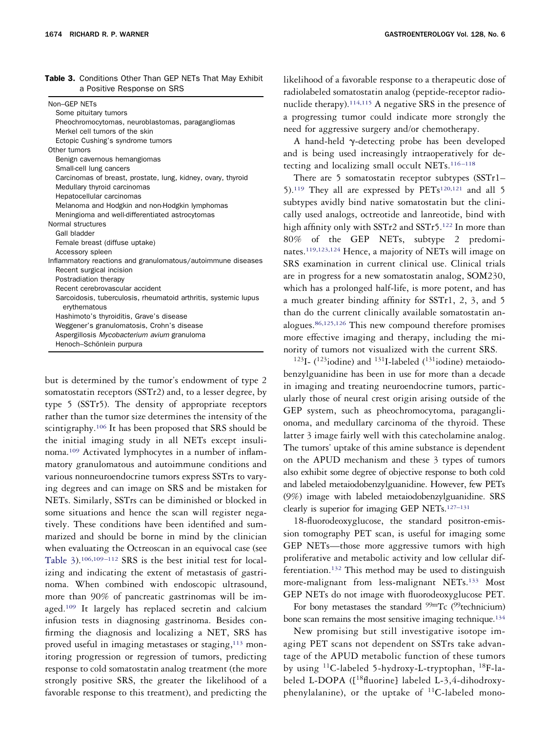Table 3. Conditions Other Than GEP NETs That May Exhibit a Positive Response on SRS

| Non-GEP NETs                                                                    |
|---------------------------------------------------------------------------------|
| Some pituitary tumors                                                           |
| Pheochromocytomas, neuroblastomas, paragangliomas                               |
| Merkel cell tumors of the skin                                                  |
| Ectopic Cushing's syndrome tumors                                               |
| Other tumors                                                                    |
| Benign cavernous hemangiomas                                                    |
| Small-cell lung cancers                                                         |
| Carcinomas of breast, prostate, lung, kidney, ovary, thyroid                    |
| Medullary thyroid carcinomas                                                    |
| Hepatocellular carcinomas                                                       |
| Melanoma and Hodgkin and non-Hodgkin lymphomas                                  |
| Meningioma and well-differentiated astrocytomas                                 |
| Normal structures                                                               |
| Gall bladder                                                                    |
| Female breast (diffuse uptake)                                                  |
| Accessory spleen                                                                |
| Inflammatory reactions and granulomatous/autoimmune diseases                    |
| Recent surgical incision                                                        |
| Postradiation therapy                                                           |
| Recent cerebrovascular accident                                                 |
| Sarcoidosis, tuberculosis, rheumatoid arthritis, systemic lupus<br>erythematous |
| Hashimoto's thyroiditis, Grave's disease                                        |
| Weggener's granulomatosis, Crohn's disease                                      |
| Aspergillosis Mycobacterium avium granuloma                                     |
| Henoch-Schönlein purpura                                                        |
|                                                                                 |

but is determined by the tumor's endowment of type 2 somatostatin receptors (SSTr2) and, to a lesser degree, by type 5 (SSTr5). The density of appropriate receptors rather than the tumor size determines the intensity of the scintigraphy[.106](#page-13-0) It has been proposed that SRS should be the initial imaging study in all NETs except insulinoma[.109](#page-13-0) Activated lymphocytes in a number of inflammatory granulomatous and autoimmune conditions and various nonneuroendocrine tumors express SSTrs to varying degrees and can image on SRS and be mistaken for NETs. Similarly, SSTrs can be diminished or blocked in some situations and hence the scan will register negatively. These conditions have been identified and summarized and should be borne in mind by the clinician when evaluating the Octreoscan in an equivocal case (see Table 3)[.106,109–112](#page-13-0) SRS is the best initial test for localizing and indicating the extent of metastasis of gastrinoma. When combined with endoscopic ultrasound, more than 90% of pancreatic gastrinomas will be imaged[.109](#page-13-0) It largely has replaced secretin and calcium infusion tests in diagnosing gastrinoma. Besides confirming the diagnosis and localizing a NET, SRS has proved useful in imaging metastases or staging,<sup>113</sup> monitoring progression or regression of tumors, predicting response to cold somatostatin analog treatment (the more strongly positive SRS, the greater the likelihood of a favorable response to this treatment), and predicting the likelihood of a favorable response to a therapeutic dose of radiolabeled somatostatin analog (peptide-receptor radionuclide therapy).<sup>114,115</sup> A negative SRS in the presence of a progressing tumor could indicate more strongly the need for aggressive surgery and/or chemotherapy.

A hand-held  $\gamma$ -detecting probe has been developed and is being used increasingly intraoperatively for detecting and localizing small occult NETs[.116–118](#page-14-0)

There are 5 somatostatin receptor subtypes (SSTr1-5).<sup>119</sup> They all are expressed by  $PETs^{120,121}$  and all 5 subtypes avidly bind native somatostatin but the clinically used analogs, octreotide and lanreotide, bind with high affinity only with SSTr2 and SSTr5.<sup>122</sup> In more than 80% of the GEP NETs, subtype 2 predominates[.119,123,124](#page-14-0) Hence, a majority of NETs will image on SRS examination in current clinical use. Clinical trials are in progress for a new somatostatin analog, SOM230, which has a prolonged half-life, is more potent, and has a much greater binding affinity for SSTr1, 2, 3, and 5 than do the current clinically available somatostatin analogues[.86,125,126](#page-13-0) This new compound therefore promises more effective imaging and therapy, including the minority of tumors not visualized with the current SRS.

<sup>123</sup>I- (<sup>123</sup>iodine) and <sup>131</sup>I-labeled (<sup>131</sup>iodine) metaiodobenzylguanidine has been in use for more than a decade in imaging and treating neuroendocrine tumors, particularly those of neural crest origin arising outside of the GEP system, such as pheochromocytoma, paraganglionoma, and medullary carcinoma of the thyroid. These latter 3 image fairly well with this catecholamine analog. The tumors' uptake of this amine substance is dependent on the APUD mechanism and these 3 types of tumors also exhibit some degree of objective response to both cold and labeled metaiodobenzylguanidine. However, few PETs (9%) image with labeled metaiodobenzylguanidine. SRS clearly is superior for imaging GEP NETs[.127–131](#page-14-0)

18-fluorodeoxyglucose, the standard positron-emission tomography PET scan, is useful for imaging some GEP NETs—those more aggressive tumors with high proliferative and metabolic activity and low cellular differentiation[.132](#page-14-0) This method may be used to distinguish more-malignant from less-malignant NETs.<sup>133</sup> Most GEP NETs do not image with fluorodeoxyglucose PET.

For bony metastases the standard  $\frac{99m}{\text{TC}}$  ( $\frac{99}{\text{technicium}}$ ) bone scan remains the most sensitive imaging technique.<sup>134</sup>

New promising but still investigative isotope imaging PET scans not dependent on SSTrs take advantage of the APUD metabolic function of these tumors by using 11C-labeled 5-hydroxy-L-tryptophan, 18F-labeled L-DOPA ([18fluorine] labeled L-3,4-dihodroxyphenylalanine), or the uptake of  $^{11}$ C-labeled mono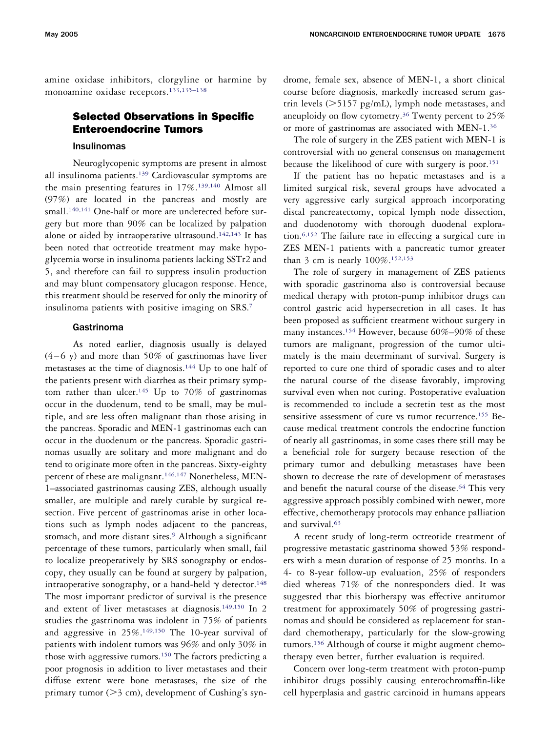amine oxidase inhibitors, clorgyline or harmine by monoamine oxidase receptors.<sup>133,135-138</sup>

# Selected Observations in Specific Enteroendocrine Tumors

## Insulinomas

Neuroglycopenic symptoms are present in almost all insulinoma patients[.139](#page-14-0) Cardiovascular symptoms are the main presenting features in 17%[.139,140](#page-14-0) Almost all (97%) are located in the pancreas and mostly are small.<sup>140,141</sup> One-half or more are undetected before surgery but more than 90% can be localized by palpation alone or aided by intraoperative ultrasound.<sup>142,143</sup> It has been noted that octreotide treatment may make hypoglycemia worse in insulinoma patients lacking SSTr2 and 5, and therefore can fail to suppress insulin production and may blunt compensatory glucagon response. Hence, this treatment should be reserved for only the minority of insulinoma patients with positive imaging on SRS[.7](#page-11-0)

## Gastrinoma

As noted earlier, diagnosis usually is delayed  $(4-6 \text{ y})$  and more than 50% of gastrinomas have liver metastases at the time of diagnosis.<sup>144</sup> Up to one half of the patients present with diarrhea as their primary symptom rather than ulcer.<sup>145</sup> Up to 70% of gastrinomas occur in the duodenum, tend to be small, may be multiple, and are less often malignant than those arising in the pancreas. Sporadic and MEN-1 gastrinomas each can occur in the duodenum or the pancreas. Sporadic gastrinomas usually are solitary and more malignant and do tend to originate more often in the pancreas. Sixty-eighty percent of these are malignant.<sup>146,147</sup> Nonetheless, MEN-1–associated gastrinomas causing ZES, although usually smaller, are multiple and rarely curable by surgical resection. Five percent of gastrinomas arise in other locations such as lymph nodes adjacent to the pancreas, stomach, and more distant sites.<sup>9</sup> Although a significant percentage of these tumors, particularly when small, fail to localize preoperatively by SRS sonography or endoscopy, they usually can be found at surgery by palpation, intraoperative sonography, or a hand-held  $\gamma$  detector.<sup>148</sup> The most important predictor of survival is the presence and extent of liver metastases at diagnosis.<sup>149,150</sup> In 2 studies the gastrinoma was indolent in 75% of patients and aggressive in 25%[.149,150](#page-14-0) The 10-year survival of patients with indolent tumors was 96% and only 30% in those with aggressive tumors.<sup>150</sup> The factors predicting a poor prognosis in addition to liver metastases and their diffuse extent were bone metastases, the size of the primary tumor (>3 cm), development of Cushing's syndrome, female sex, absence of MEN-1, a short clinical course before diagnosis, markedly increased serum gastrin levels  $($ >5157 pg/mL), lymph node metastases, and aneuploidy on flow cytometry.<sup>36</sup> Twenty percent to 25% or more of gastrinomas are associated with MEN-1[.36](#page-11-0)

The role of surgery in the ZES patient with MEN-1 is controversial with no general consensus on management because the likelihood of cure with surgery is poor.<sup>151</sup>

If the patient has no hepatic metastases and is a limited surgical risk, several groups have advocated a very aggressive early surgical approach incorporating distal pancreatectomy, topical lymph node dissection, and duodenotomy with thorough duodenal exploration[.6,152](#page-11-0) The failure rate in effecting a surgical cure in ZES MEN-1 patients with a pancreatic tumor greater than 3 cm is nearly  $100\%$ .<sup>152,153</sup>

The role of surgery in management of ZES patients with sporadic gastrinoma also is controversial because medical therapy with proton-pump inhibitor drugs can control gastric acid hypersecretion in all cases. It has been proposed as sufficient treatment without surgery in many instances[.154](#page-15-0) However, because 60%–90% of these tumors are malignant, progression of the tumor ultimately is the main determinant of survival. Surgery is reported to cure one third of sporadic cases and to alter the natural course of the disease favorably, improving survival even when not curing. Postoperative evaluation is recommended to include a secretin test as the most sensitive assessment of cure vs tumor recurrence.<sup>155</sup> Because medical treatment controls the endocrine function of nearly all gastrinomas, in some cases there still may be a beneficial role for surgery because resection of the primary tumor and debulking metastases have been shown to decrease the rate of development of metastases and benefit the natural course of the disease.<sup>64</sup> This very aggressive approach possibly combined with newer, more effective, chemotherapy protocols may enhance palliation and survival[.63](#page-12-0)

A recent study of long-term octreotide treatment of progressive metastatic gastrinoma showed 53% responders with a mean duration of response of 25 months. In a 4- to 8-year follow-up evaluation, 25% of responders died whereas 71% of the nonresponders died. It was suggested that this biotherapy was effective antitumor treatment for approximately 50% of progressing gastrinomas and should be considered as replacement for standard chemotherapy, particularly for the slow-growing tumors[.156](#page-15-0) Although of course it might augment chemotherapy even better, further evaluation is required.

Concern over long-term treatment with proton-pump inhibitor drugs possibly causing enterochromaffin-like cell hyperplasia and gastric carcinoid in humans appears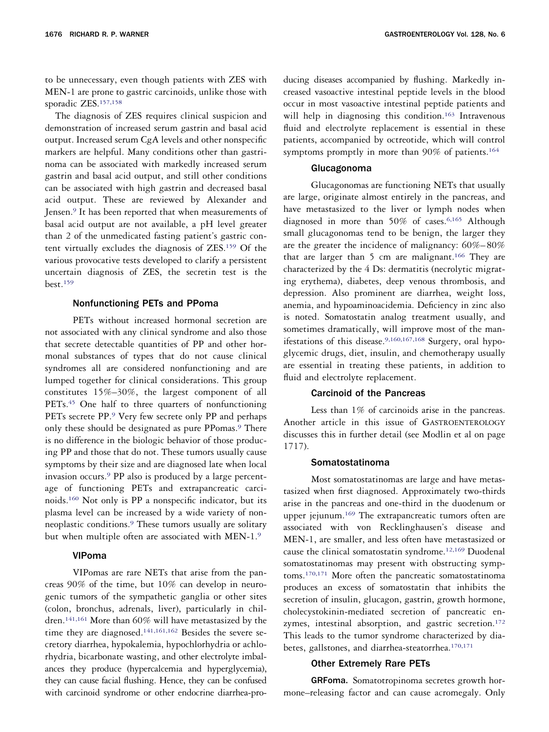to be unnecessary, even though patients with ZES with MEN-1 are prone to gastric carcinoids, unlike those with sporadic ZES[.157,158](#page-15-0)

The diagnosis of ZES requires clinical suspicion and demonstration of increased serum gastrin and basal acid output. Increased serum CgA levels and other nonspecific markers are helpful. Many conditions other than gastrinoma can be associated with markedly increased serum gastrin and basal acid output, and still other conditions can be associated with high gastrin and decreased basal acid output. These are reviewed by Alexander and Jensen.<sup>9</sup> It has been reported that when measurements of basal acid output are not available, a pH level greater than 2 of the unmedicated fasting patient's gastric content virtually excludes the diagnosis of ZES[.159](#page-15-0) Of the various provocative tests developed to clarify a persistent uncertain diagnosis of ZES, the secretin test is the best[.159](#page-15-0)

#### Nonfunctioning PETs and PPoma

PETs without increased hormonal secretion are not associated with any clinical syndrome and also those that secrete detectable quantities of PP and other hormonal substances of types that do not cause clinical syndromes all are considered nonfunctioning and are lumped together for clinical considerations. This group constitutes 15%–30%, the largest component of all PETs.<sup>45</sup> One half to three quarters of nonfunctioning PETs secrete PP.<sup>9</sup> Very few secrete only PP and perhaps only these should be designated as pure PPomas.<sup>9</sup> There is no difference in the biologic behavior of those producing PP and those that do not. These tumors usually cause symptoms by their size and are diagnosed late when local invasion occurs[.9](#page-11-0) PP also is produced by a large percentage of functioning PETs and extrapancreatic carcinoids[.160](#page-15-0) Not only is PP a nonspecific indicator, but its plasma level can be increased by a wide variety of nonneoplastic conditions[.9](#page-11-0) These tumors usually are solitary but when multiple often are associated with MEN-1[.9](#page-11-0)

## VIPoma

VIPomas are rare NETs that arise from the pancreas 90% of the time, but 10% can develop in neurogenic tumors of the sympathetic ganglia or other sites (colon, bronchus, adrenals, liver), particularly in children[.141,161](#page-14-0) More than 60% will have metastasized by the time they are diagnosed.<sup>141,161,162</sup> Besides the severe secretory diarrhea, hypokalemia, hypochlorhydria or achlorhydria, bicarbonate wasting, and other electrolyte imbalances they produce (hypercalcemia and hyperglycemia), they can cause facial flushing. Hence, they can be confused with carcinoid syndrome or other endocrine diarrhea-producing diseases accompanied by flushing. Markedly increased vasoactive intestinal peptide levels in the blood occur in most vasoactive intestinal peptide patients and will help in diagnosing this condition.<sup>163</sup> Intravenous fluid and electrolyte replacement is essential in these patients, accompanied by octreotide, which will control symptoms promptly in more than 90% of patients.<sup>164</sup>

#### Glucagonoma

Glucagonomas are functioning NETs that usually are large, originate almost entirely in the pancreas, and have metastasized to the liver or lymph nodes when diagnosed in more than 50% of cases[.6,165](#page-11-0) Although small glucagonomas tend to be benign, the larger they are the greater the incidence of malignancy: 60%–80% that are larger than  $5 \text{ cm}$  are malignant.<sup>166</sup> They are characterized by the 4 Ds: dermatitis (necrolytic migrating erythema), diabetes, deep venous thrombosis, and depression. Also prominent are diarrhea, weight loss, anemia, and hypoaminoacidemia. Deficiency in zinc also is noted. Somatostatin analog treatment usually, and sometimes dramatically, will improve most of the manifestations of this disease.<sup>9,160,167,168</sup> Surgery, oral hypoglycemic drugs, diet, insulin, and chemotherapy usually are essential in treating these patients, in addition to fluid and electrolyte replacement.

#### Carcinoid of the Pancreas

Less than 1% of carcinoids arise in the pancreas. Another article in this issue of GASTROENTEROLOGY discusses this in further detail (see Modlin et al on page 1717).

## Somatostatinoma

Most somatostatinomas are large and have metastasized when first diagnosed. Approximately two-thirds arise in the pancreas and one-third in the duodenum or upper jejunum.<sup>169</sup> The extrapancreatic tumors often are associated with von Recklinghausen's disease and MEN-1, are smaller, and less often have metastasized or cause the clinical somatostatin syndrome[.12,169](#page-11-0) Duodenal somatostatinomas may present with obstructing symptoms[.170,171](#page-15-0) More often the pancreatic somatostatinoma produces an excess of somatostatin that inhibits the secretion of insulin, glucagon, gastrin, growth hormone, cholecystokinin-mediated secretion of pancreatic enzymes, intestinal absorption, and gastric secretion.<sup>172</sup> This leads to the tumor syndrome characterized by diabetes, gallstones, and diarrhea-steatorrhea.<sup>170,171</sup>

#### Other Extremely Rare PETs

GRFoma. Somatotropinoma secretes growth hormone–releasing factor and can cause acromegaly. Only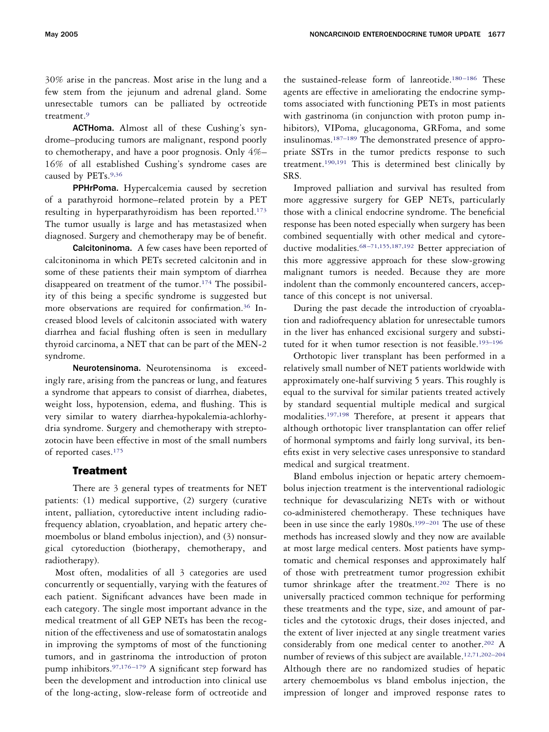30% arise in the pancreas. Most arise in the lung and a few stem from the jejunum and adrenal gland. Some unresectable tumors can be palliated by octreotide treatment[.9](#page-11-0)

ACTHoma. Almost all of these Cushing's syndrome–producing tumors are malignant, respond poorly to chemotherapy, and have a poor prognosis. Only 4%– 16% of all established Cushing's syndrome cases are caused by PETs[.9,36](#page-11-0)

PPHrPoma. Hypercalcemia caused by secretion of a parathyroid hormone–related protein by a PET resulting in hyperparathyroidism has been reported[.173](#page-15-0) The tumor usually is large and has metastasized when diagnosed. Surgery and chemotherapy may be of benefit.

Calcitoninoma. A few cases have been reported of calcitoninoma in which PETs secreted calcitonin and in some of these patients their main symptom of diarrhea disappeared on treatment of the tumor[.174](#page-15-0) The possibility of this being a specific syndrome is suggested but more observations are required for confirmation.<sup>36</sup> Increased blood levels of calcitonin associated with watery diarrhea and facial flushing often is seen in medullary thyroid carcinoma, a NET that can be part of the MEN-2 syndrome.

Neurotensinoma. Neurotensinoma is exceedingly rare, arising from the pancreas or lung, and features a syndrome that appears to consist of diarrhea, diabetes, weight loss, hypotension, edema, and flushing. This is very similar to watery diarrhea-hypokalemia-achlorhydria syndrome. Surgery and chemotherapy with streptozotocin have been effective in most of the small numbers of reported cases[.175](#page-15-0)

# Treatment

There are 3 general types of treatments for NET patients: (1) medical supportive, (2) surgery (curative intent, palliation, cytoreductive intent including radiofrequency ablation, cryoablation, and hepatic artery chemoembolus or bland embolus injection), and (3) nonsurgical cytoreduction (biotherapy, chemotherapy, and radiotherapy).

Most often, modalities of all 3 categories are used concurrently or sequentially, varying with the features of each patient. Significant advances have been made in each category. The single most important advance in the medical treatment of all GEP NETs has been the recognition of the effectiveness and use of somatostatin analogs in improving the symptoms of most of the functioning tumors, and in gastrinoma the introduction of proton pump inhibitors[.97,176–179](#page-13-0) A significant step forward has been the development and introduction into clinical use of the long-acting, slow-release form of octreotide and

the sustained-release form of lanreotide[.180–186](#page-15-0) These agents are effective in ameliorating the endocrine symptoms associated with functioning PETs in most patients with gastrinoma (in conjunction with proton pump inhibitors), VIPoma, glucagonoma, GRFoma, and some insulinomas[.187–189](#page-16-0) The demonstrated presence of appropriate SSTrs in the tumor predicts response to such treatment[.190,191](#page-16-0) This is determined best clinically by SRS.

Improved palliation and survival has resulted from more aggressive surgery for GEP NETs, particularly those with a clinical endocrine syndrome. The beneficial response has been noted especially when surgery has been combined sequentially with other medical and cytoreductive modalities.<sup>68-71,155,187,192</sup> Better appreciation of this more aggressive approach for these slow-growing malignant tumors is needed. Because they are more indolent than the commonly encountered cancers, acceptance of this concept is not universal.

During the past decade the introduction of cryoablation and radiofrequency ablation for unresectable tumors in the liver has enhanced excisional surgery and substituted for it when tumor resection is not feasible.<sup>193-196</sup>

Orthotopic liver transplant has been performed in a relatively small number of NET patients worldwide with approximately one-half surviving 5 years. This roughly is equal to the survival for similar patients treated actively by standard sequential multiple medical and surgical modalities[.197,198](#page-16-0) Therefore, at present it appears that although orthotopic liver transplantation can offer relief of hormonal symptoms and fairly long survival, its benefits exist in very selective cases unresponsive to standard medical and surgical treatment.

Bland embolus injection or hepatic artery chemoembolus injection treatment is the interventional radiologic technique for devascularizing NETs with or without co-administered chemotherapy. These techniques have been in use since the early 1980s.<sup>199-201</sup> The use of these methods has increased slowly and they now are available at most large medical centers. Most patients have symptomatic and chemical responses and approximately half of those with pretreatment tumor progression exhibit tumor shrinkage after the treatment.<sup>202</sup> There is no universally practiced common technique for performing these treatments and the type, size, and amount of particles and the cytotoxic drugs, their doses injected, and the extent of liver injected at any single treatment varies considerably from one medical center to another.<sup>202</sup> A number of reviews of this subject are available[.12,71,202–204](#page-11-0) Although there are no randomized studies of hepatic artery chemoembolus vs bland embolus injection, the impression of longer and improved response rates to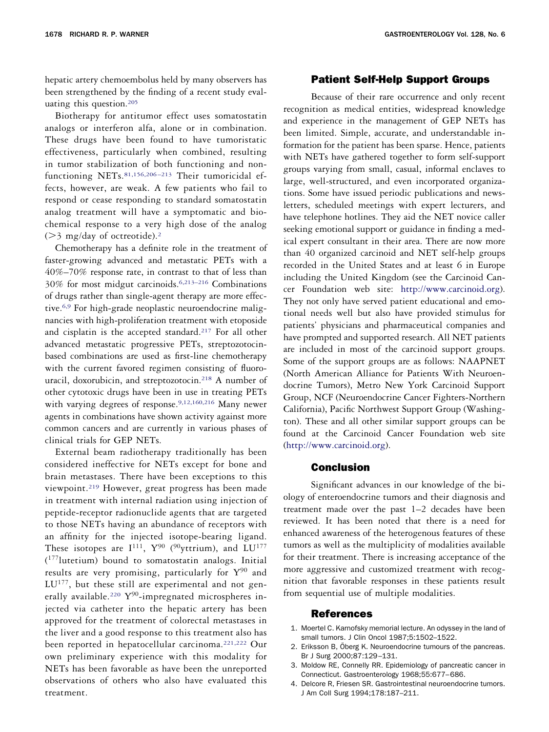<span id="page-10-0"></span>hepatic artery chemoembolus held by many observers has been strengthened by the finding of a recent study evaluating this question[.205](#page-16-0)

Biotherapy for antitumor effect uses somatostatin analogs or interferon alfa, alone or in combination. These drugs have been found to have tumoristatic effectiveness, particularly when combined, resulting in tumor stabilization of both functioning and nonfunctioning NETs[.81,156,206–213](#page-13-0) Their tumoricidal effects, however, are weak. A few patients who fail to respond or cease responding to standard somatostatin analog treatment will have a symptomatic and biochemical response to a very high dose of the analog  $($ >3 mg/day of octreotide).<sup>2</sup>

Chemotherapy has a definite role in the treatment of faster-growing advanced and metastatic PETs with a 40%–70% response rate, in contrast to that of less than 30% for most midgut carcinoids[.6,213–216](#page-11-0) Combinations of drugs rather than single-agent therapy are more effective[.6,9](#page-11-0) For high-grade neoplastic neuroendocrine malignancies with high-proliferation treatment with etoposide and cisplatin is the accepted standard.<sup>217</sup> For all other advanced metastatic progressive PETs, streptozotocinbased combinations are used as first-line chemotherapy with the current favored regimen consisting of fluorouracil, doxorubicin, and streptozotocin.<sup>218</sup> A number of other cytotoxic drugs have been in use in treating PETs with varying degrees of response[.9,12,160,216](#page-11-0) Many newer agents in combinations have shown activity against more common cancers and are currently in various phases of clinical trials for GEP NETs.

External beam radiotherapy traditionally has been considered ineffective for NETs except for bone and brain metastases. There have been exceptions to this viewpoint[.219](#page-16-0) However, great progress has been made in treatment with internal radiation using injection of peptide-receptor radionuclide agents that are targeted to those NETs having an abundance of receptors with an affinity for the injected isotope-bearing ligand. These isotopes are  $I^{111}$ ,  $Y^{90}$  ( $^{90}$ yttrium), and  $LU^{177}$ ( 177lutetium) bound to somatostatin analogs. Initial results are very promising, particularly for  $Y^{90}$  and LU<sup>177</sup>, but these still are experimental and not generally available.<sup>220</sup> Y<sup>90</sup>-impregnated microspheres injected via catheter into the hepatic artery has been approved for the treatment of colorectal metastases in the liver and a good response to this treatment also has been reported in hepatocellular carcinoma.<sup>221,222</sup> Our own preliminary experience with this modality for NETs has been favorable as have been the unreported observations of others who also have evaluated this treatment.

# Patient Self-Help Support Groups

Because of their rare occurrence and only recent recognition as medical entities, widespread knowledge and experience in the management of GEP NETs has been limited. Simple, accurate, and understandable information for the patient has been sparse. Hence, patients with NETs have gathered together to form self-support groups varying from small, casual, informal enclaves to large, well-structured, and even incorporated organizations. Some have issued periodic publications and newsletters, scheduled meetings with expert lecturers, and have telephone hotlines. They aid the NET novice caller seeking emotional support or guidance in finding a medical expert consultant in their area. There are now more than 40 organized carcinoid and NET self-help groups recorded in the United States and at least 6 in Europe including the United Kingdom (see the Carcinoid Cancer Foundation web site: [http://www.carcinoid.org\)](http://www.carcinoid.org). They not only have served patient educational and emotional needs well but also have provided stimulus for patients' physicians and pharmaceutical companies and have prompted and supported research. All NET patients are included in most of the carcinoid support groups. Some of the support groups are as follows: NAAPNET (North American Alliance for Patients With Neuroendocrine Tumors), Metro New York Carcinoid Support Group, NCF (Neuroendocrine Cancer Fighters-Northern California), Pacific Northwest Support Group (Washington). These and all other similar support groups can be found at the Carcinoid Cancer Foundation web site [\(http://www.carcinoid.org\)](http://www.carcinoid.org).

## Conclusion

Significant advances in our knowledge of the biology of enteroendocrine tumors and their diagnosis and treatment made over the past 1–2 decades have been reviewed. It has been noted that there is a need for enhanced awareness of the heterogenous features of these tumors as well as the multiplicity of modalities available for their treatment. There is increasing acceptance of the more aggressive and customized treatment with recognition that favorable responses in these patients result from sequential use of multiple modalities.

## References

- 1. Moertel C. Karnofsky memorial lecture. An odyssey in the land of small tumors. J Clin Oncol 1987;5:1502–1522.
- 2. Eriksson B, Öberg K. Neuroendocrine tumours of the pancreas. Br J Surg 2000;87:129–131.
- 3. Moldow RE, Connelly RR. Epidemiology of pancreatic cancer in Connecticut. Gastroenterology 1968;55:677–686.
- 4. Delcore R, Friesen SR. Gastrointestinal neuroendocrine tumors. J Am Coll Surg 1994;178:187–211.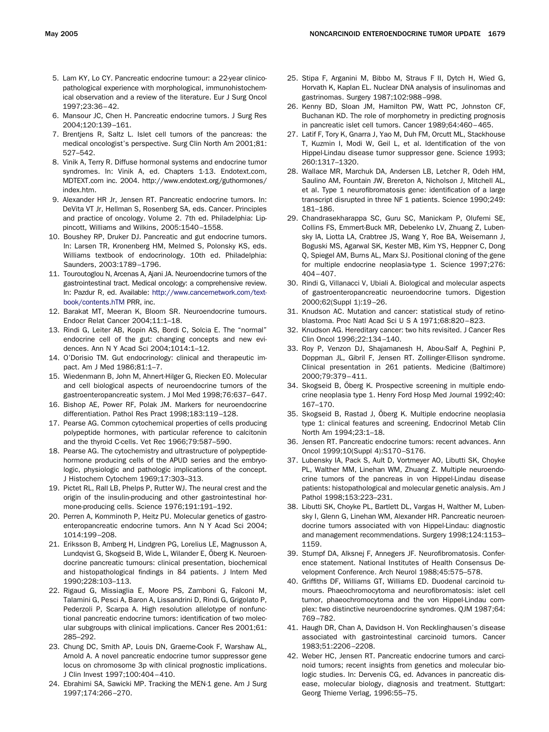- <span id="page-11-0"></span>5. Lam KY, Lo CY. Pancreatic endocrine tumour: a 22-year clinicopathological experience with morphological, immunohistochemical observation and a review of the literature. Eur J Surg Oncol 1997;23:36–42.
- 6. Mansour JC, Chen H. Pancreatic endocrine tumors. J Surg Res 2004;120:139–161.
- 7. Brentjens R, Saltz L. Islet cell tumors of the pancreas: the medical oncologist's perspective. Surg Clin North Am 2001;81: 527–542.
- 8. Vinik A, Terry R. Diffuse hormonal systems and endocrine tumor syndromes. In: Vinik A, ed. Chapters 1-13. Endotext.com, MDTEXT.com inc. 2004. http://www.endotext.org/guthormones/ index.htm.
- 9. Alexander HR Jr, Jensen RT. Pancreatic endocrine tumors. In: DeVita VT Jr, Hellman S, Rosenberg SA, eds. Cancer. Principles and practice of oncology. Volume 2. 7th ed. Philadelphia: Lippincott, Williams and Wilkins, 2005:1540–1558.
- 10. Boushey RP, Druker DJ. Pancreatic and gut endocrine tumors. In: Larsen TR, Kronenberg HM, Melmed S, Polonsky KS, eds. Williams textbook of endocrinology. 10th ed. Philadelphia: Saunders, 2003:1789–1796.
- 11. Touroutoglou N, Arcenas A, Ajani JA. Neuroendocrine tumors of the gastrointestinal tract. Medical oncology: a comprehensive review. In: Pazdur R, ed. Available: [http://www.cancernetwork.com/text](http://www.cancernetwork.com/textbook/contents.hTM)[book/contents.hTM](http://www.cancernetwork.com/textbook/contents.hTM) PRR, inc.
- 12. Barakat MT, Meeran K, Bloom SR. Neuroendocrine tumours. Endocr Relat Cancer 2004;11:1–18.
- 13. Rindi G, Leiter AB, Kopin AS, Bordi C, Solcia E. The "normal" endocrine cell of the gut: changing concepts and new evidences. Ann N Y Acad Sci 2004;1014:1–12.
- 14. O'Dorisio TM. Gut endocrinology: clinical and therapeutic impact. Am J Med 1986;81:1–7.
- 15. Wiedenmann B, John M, Ahnert-Hilger G, Riecken EO. Molecular and cell biological aspects of neuroendocrine tumors of the gastroenteropancreatic system. J Mol Med 1998;76:637–647.
- 16. Bishop AE, Power RF, Polak JM. Markers for neuroendocrine differentiation. Pathol Res Pract 1998;183:119–128.
- 17. Pearse AG. Common cytochemical properties of cells producing polypeptide hormones, with particular reference to calcitonin and the thyroid C-cells. Vet Rec 1966;79:587–590.
- 18. Pearse AG. The cytochemistry and ultrastructure of polypeptidehormone producing cells of the APUD series and the embryologic, physiologic and pathologic implications of the concept. J Histochem Cytochem 1969;17:303–313.
- 19. Pictet RL, Rall LB, Phelps P, Rutter WJ. The neural crest and the origin of the insulin-producing and other gastrointestinal hormone-producing cells. Science 1976;191:191–192.
- 20. Perren A, Komminoth P, Heitz PU. Molecular genetics of gastroenteropancreatic endocrine tumors. Ann N Y Acad Sci 2004; 1014:199–208.
- 21. Eriksson B, Amberg H, Lindgren PG, Lorelius LE, Magnusson A, Lundqvist G, Skogseid B, Wide L, Wilander E, Öberg K. Neuroendocrine pancreatic tumours: clinical presentation, biochemical and histopathological findings in 84 patients. J Intern Med 1990;228:103–113.
- 22. Rigaud G, Missiaglia E, Moore PS, Zamboni G, Falconi M, Talamini G, Pesci A, Baron A, Lissandrini D, Rindi G, Grigolato P, Pederzoli P, Scarpa A. High resolution allelotype of nonfunctional pancreatic endocrine tumors: identification of two molecular subgroups with clinical implications. Cancer Res 2001;61: 285–292.
- 23. Chung DC, Smith AP, Louis DN, Graeme-Cook F, Warshaw AL, Arnold A. A novel pancreatic endocrine tumor suppressor gene locus on chromosome 3p with clinical prognostic implications. J Clin Invest 1997;100:404–410.
- 24. Ebrahimi SA, Sawicki MP. Tracking the MEN-1 gene. Am J Surg 1997;174:266–270.
- 25. Stipa F, Arganini M, Bibbo M, Straus F II, Dytch H, Wied G, Horvath K, Kaplan EL. Nuclear DNA analysis of insulinomas and gastrinomas. Surgery 1987;102:988–998.
- 26. Kenny BD, Sloan JM, Hamilton PW, Watt PC, Johnston CF, Buchanan KD. The role of morphometry in predicting prognosis in pancreatic islet cell tumors. Cancer 1989;64:460–465.
- 27. Latif F, Tory K, Gnarra J, Yao M, Duh FM, Orcutt ML, Stackhouse T, Kuzmin I, Modi W, Geil L, et al. Identification of the von Hippel-Lindau disease tumor suppressor gene. Science 1993; 260:1317–1320.
- 28. Wallace MR, Marchuk DA, Andersen LB, Letcher R, Odeh HM, Saulino AM, Fountain JW, Brereton A, Nicholson J, Mitchell AL, et al. Type 1 neurofibromatosis gene: identification of a large transcript disrupted in three NF 1 patients. Science 1990;249: 181–186.
- 29. Chandrasekharappa SC, Guru SC, Manickam P, Olufemi SE, Collins FS, Emmert-Buck MR, Debelenko LV, Zhuang Z, Lubensky IA, Liotta LA, Crabtree JS, Wang Y, Roe BA, Weisemann J, Boguski MS, Agarwal SK, Kester MB, Kim YS, Heppner C, Dong Q, Spiegel AM, Burns AL, Marx SJ. Positional cloning of the gene for multiple endocrine neoplasia-type 1. Science 1997;276: 404–407.
- 30. Rindi G, Villanacci V, Ubiali A. Biological and molecular aspects of gastroenteropancreatic neuroendocrine tumors. Digestion 2000;62(Suppl 1):19–26.
- 31. Knudson AC. Mutation and cancer: statistical study of retinoblastoma. Proc Natl Acad Sci U S A 1971;68:820-823.
- 32. Knudson AG. Hereditary cancer: two hits revisited. J Cancer Res Clin Oncol 1996;22:134–140.
- 33. Roy P, Venzon DJ, Shajamanesh H, Abou-Salf A, Peghini P, Doppman JL, Gibril F, Jensen RT. Zollinger-Ellison syndrome. Clinical presentation in 261 patients. Medicine (Baltimore) 2000;79:379–411.
- 34. Skogseid B, Öberg K. Prospective screening in multiple endocrine neoplasia type 1. Henry Ford Hosp Med Journal 1992;40: 167–170.
- 35. Skogseid B, Rastad J, Öberg K. Multiple endocrine neoplasia type 1: clinical features and screening. Endocrinol Metab Clin North Am 1994;23:1–18.
- 36. Jensen RT. Pancreatic endocrine tumors: recent advances. Ann Oncol 1999;10(Suppl 4):S170–S176.
- 37. Lubensky IA, Pack S, Ault D, Vortmeyer AO, Libutti SK, Choyke PL, Walther MM, Linehan WM, Zhuang Z. Multiple neuroendocrine tumors of the pancreas in von Hippel-Lindau disease patients: histopathological and molecular genetic analysis. Am J Pathol 1998;153:223–231.
- 38. Libutti SK, Choyke PL, Bartlett DL, Vargas H, Walther M, Lubensky I, Glenn G, Linehan WM, Alexander HR. Pancreatic neuroendocrine tumors associated with von Hippel-Lindau: diagnostic and management recommendations. Surgery 1998;124:1153– 1159.
- 39. Stumpf DA, Alksnej F, Annegers JF. Neurofibromatosis. Conference statement. National Institutes of Health Consensus Development Conference. Arch Neurol 1988;45:575–578.
- 40. Griffiths DF, Williams GT, Williams ED. Duodenal carcinoid tumours. Phaeochromocytoma and neurofibromatosis: islet cell tumor, phaeochromocytoma and the von Hippel-Lindau complex: two distinctive neuroendocrine syndromes. QJM 1987;64: 769–782.
- 41. Haugh DR, Chan A, Davidson H. Von Recklinghausen's disease associated with gastrointestinal carcinoid tumors. Cancer 1983;51:2206–2208.
- 42. Weber HC, Jensen RT. Pancreatic endocrine tumors and carcinoid tumors; recent insights from genetics and molecular biologic studies. In: Dervenis CG, ed. Advances in pancreatic disease, molecular biology, diagnosis and treatment. Stuttgart: Georg Thieme Verlag, 1996:55–75.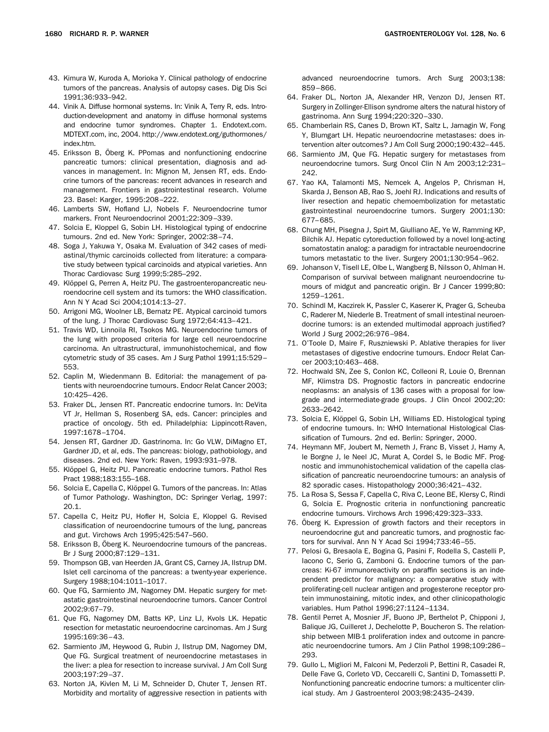- <span id="page-12-0"></span>43. Kimura W, Kuroda A, Morioka Y. Clinical pathology of endocrine tumors of the pancreas. Analysis of autopsy cases. Dig Dis Sci 1991;36:933–942.
- 44. Vinik A. Diffuse hormonal systems. In: Vinik A, Terry R, eds. Introduction-development and anatomy in diffuse hormonal systems and endocrine tumor syndromes. Chapter 1. Endotext.com. MDTEXT.com, inc, 2004. http://www.endotext.org/guthormones/ index.htm.
- 45. Eriksson B, Öberg K. PPomas and nonfunctioning endocrine pancreatic tumors: clinical presentation, diagnosis and advances in management. In: Mignon M, Jensen RT, eds. Endocrine tumors of the pancreas: recent advances in research and management. Frontiers in gastrointestinal research. Volume 23. Basel: Karger, 1995:208–222.
- 46. Lamberts SW, Hofland LJ, Nobels F. Neuroendocrine tumor markers. Front Neuroendocrinol 2001;22:309–339.
- 47. Solcia E, Kloppel G, Sobin LH. Histological typing of endocrine tumours. 2nd ed. New York: Springer, 2002:38–74.
- 48. Soga J, Yakuwa Y, Osaka M. Evaluation of 342 cases of mediastinal/thymic carcinoids collected from literature: a comparative study between typical carcinoids and atypical varieties. Ann Thorac Cardiovasc Surg 1999;5:285–292.
- 49. Klöppel G, Perren A, Heitz PU. The gastroenteropancreatic neuroendocrine cell system and its tumors: the WHO classification. Ann N Y Acad Sci 2004;1014:13–27.
- 50. Arrigoni MG, Woolner LB, Bernatz PE. Atypical carcinoid tumors of the lung. J Thorac Cardiovasc Surg 1972;64:413–421.
- 51. Travis WD, Linnoila RI, Tsokos MG. Neuroendocrine tumors of the lung with proposed criteria for large cell neuroendocrine carcinoma. An ultrastructural, immunohistochemical, and flow cytometric study of 35 cases. Am J Surg Pathol 1991;15:529– 553.
- 52. Caplin M, Wiedenmann B. Editorial: the management of patients with neuroendocrine tumours. Endocr Relat Cancer 2003; 10:425–426.
- 53. Fraker DL, Jensen RT. Pancreatic endocrine tumors. In: DeVita VT Jr, Hellman S, Rosenberg SA, eds. Cancer: principles and practice of oncology. 5th ed. Philadelphia: Lippincott-Raven, 1997:1678–1704.
- 54. Jensen RT, Gardner JD. Gastrinoma. In: Go VLW, DiMagno ET, Gardner JD, et al, eds. The pancreas: biology, pathobiology, and diseases. 2nd ed. New York: Raven, 1993:931–978.
- 55. Klöppel G, Heitz PU. Pancreatic endocrine tumors. Pathol Res Pract 1988;183:155–168.
- 56. Solcia E, Capella C, Klöppel G. Tumors of the pancreas. In: Atlas of Tumor Pathology. Washington, DC: Springer Verlag, 1997: 20.1.
- 57. Capella C, Heitz PU, Hofler H, Solcia E, Kloppel G. Revised classification of neuroendocrine tumours of the lung, pancreas and gut. Virchows Arch 1995;425:547–560.
- 58. Eriksson B, Öberg K. Neuroendocrine tumours of the pancreas. Br J Surg 2000;87:129–131.
- 59. Thompson GB, van Heerden JA, Grant CS, Carney JA, Ilstrup DM. Islet cell carcinoma of the pancreas: a twenty-year experience. Surgery 1988;104:1011–1017.
- 60. Que FG, Sarmiento JM, Nagorney DM. Hepatic surgery for metastatic gastrointestinal neuroendocrine tumors. Cancer Control 2002;9:67–79.
- 61. Que FG, Nagorney DM, Batts KP, Linz LJ, Kvols LK. Hepatic resection for metastatic neuroendocrine carcinomas. Am J Surg 1995:169:36–43.
- 62. Sarmiento JM, Heywood G, Rubin J, Ilstrup DM, Nagorney DM, Que FG. Surgical treatment of neuroendocrine metastases in the liver: a plea for resection to increase survival. J Am Coll Surg 2003;197:29–37.
- 63. Norton JA, Kivlen M, Li M, Schneider D, Chuter T, Jensen RT. Morbidity and mortality of aggressive resection in patients with

advanced neuroendocrine tumors. Arch Surg 2003;138: 859–866.

- 64. Fraker DL, Norton JA, Alexander HR, Venzon DJ, Jensen RT. Surgery in Zollinger-Ellison syndrome alters the natural history of gastrinoma. Ann Surg 1994;220:320–330.
- 65. Chamberlain RS, Canes D, Brown KT, Saltz L, Jarnagin W, Fong Y, Blumgart LH. Hepatic neuroendocrine metastases: does intervention alter outcomes? J Am Coll Surg 2000;190:432–445.
- 66. Sarmiento JM, Que FG. Hepatic surgery for metastases from neuroendocrine tumors. Surg Oncol Clin N Am 2003;12:231– 242.
- 67. Yao KA, Talamonti MS, Nemcek A, Angelos P, Chrisman H, Skarda J, Benson AB, Rao S, Joehl RJ. Indications and results of liver resection and hepatic chemoembolization for metastatic gastrointestinal neuroendocrine tumors. Surgery 2001;130: 677–685.
- 68. Chung MH, Pisegna J, Spirt M, Giulliano AE, Ye W, Ramming KP, Bilchik AJ. Hepatic cytoreduction followed by a novel long-acting somatostatin analog: a paradigm for intractable neuroendocrine tumors metastatic to the liver. Surgery 2001;130:954–962.
- 69. Johanson V, Tisell LE, Olbe L, Wangberg B, Nilsson O, Ahlman H. Comparison of survival between malignant neuroendocrine tumours of midgut and pancreatic origin. Br J Cancer 1999;80: 1259–1261.
- 70. Schindl M, Kaczirek K, Passler C, Kaserer K, Prager G, Scheuba C, Raderer M, Niederle B. Treatment of small intestinal neuroendocrine tumors: is an extended multimodal approach justified? World J Surg 2002;26:976–984.
- 71. O'Toole D, Maire F, Ruszniewski P. Ablative therapies for liver metastases of digestive endocrine tumours. Endocr Relat Cancer 2003;10:463–468.
- 72. Hochwald SN, Zee S, Conlon KC, Colleoni R, Louie O, Brennan MF, Klimstra DS. Prognostic factors in pancreatic endocrine neoplasms: an analysis of 136 cases with a proposal for lowgrade and intermediate-grade groups. J Clin Oncol 2002;20: 2633–2642.
- 73. Solcia E, Klöppel G, Sobin LH, Williams ED. Histological typing of endocrine tumours. In: WHO International Histological Classification of Tumours. 2nd ed. Berlin: Springer, 2000.
- 74. Heymann MF, Joubert M, Nemeth J, Franc B, Visset J, Hamy A, le Borgne J, le Neel JC, Murat A, Cordel S, le Bodic MF. Prognostic and immunohistochemical validation of the capella classification of pancreatic neuroendocrine tumours: an analysis of 82 sporadic cases. Histopathology 2000;36:421–432.
- 75. La Rosa S, Sessa F, Capella C, Riva C, Leone BE, Klersy C, Rindi G, Solcia E. Prognostic criteria in nonfunctioning pancreatic endocrine tumours. Virchows Arch 1996;429:323–333.
- 76. Öberg K. Expression of growth factors and their receptors in neuroendocrine gut and pancreatic tumors, and prognostic factors for survival. Ann N Y Acad Sci 1994;733:46–55.
- 77. Pelosi G, Bresaola E, Bogina G, Pasini F, Rodella S, Castelli P, Iacono C, Serio G, Zamboni G. Endocrine tumors of the pancreas: Ki-67 immunoreactivity on paraffin sections is an independent predictor for malignancy: a comparative study with proliferating-cell nuclear antigen and progesterone receptor protein immunostaining, mitotic index, and other clinicopathologic variables. Hum Pathol 1996;27:1124–1134.
- 78. Gentil Perret A, Mosnier JF, Buono JP, Berthelot P, Chipponi J, Balique JG, Cuilleret J, Dechelotte P, Boucheron S. The relationship between MIB-1 proliferation index and outcome in pancreatic neuroendocrine tumors. Am J Clin Pathol 1998;109:286– 293.
- 79. Gullo L, Migliori M, Falconi M, Pederzoli P, Bettini R, Casadei R, Delle Fave G, Corleto VD, Ceccarelli C, Santini D, Tomassetti P. Nonfunctioning pancreatic endocrine tumors: a multicenter clinical study. Am J Gastroenterol 2003;98:2435–2439.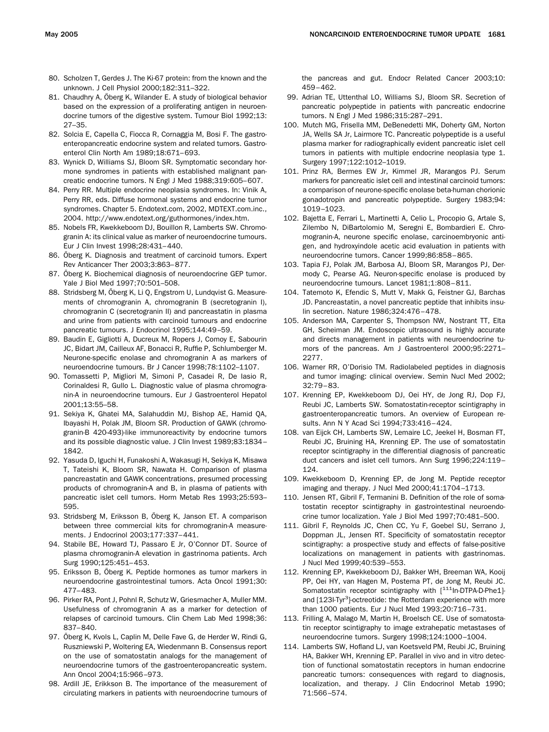- <span id="page-13-0"></span>80. Scholzen T, Gerdes J. The Ki-67 protein: from the known and the unknown. J Cell Physiol 2000;182:311–322.
- 81. Chaudhry A, Öberg K, Wilander E. A study of biological behavior based on the expression of a proliferating antigen in neuroendocrine tumors of the digestive system. Tumour Biol 1992;13: 27–35.
- 82. Solcia E, Capella C, Fiocca R, Cornaggia M, Bosi F. The gastroenteropancreatic endocrine system and related tumors. Gastroenterol Clin North Am 1989;18:671–693.
- 83. Wynick D, Williams SJ, Bloom SR. Symptomatic secondary hormone syndromes in patients with established malignant pancreatic endocrine tumors. N Engl J Med 1988;319:605–607.
- 84. Perry RR. Multiple endocrine neoplasia syndromes. In: Vinik A, Perry RR, eds. Diffuse hormonal systems and endocrine tumor syndromes. Chapter 5. Endotext.com, 2002, MDTEXT.com.inc., 2004. http://www.endotext.org/guthormones/index.htm.
- 85. Nobels FR, Kwekkeboom DJ, Bouillon R, Lamberts SW. Chromogranin A: its clinical value as marker of neuroendocrine tumours. Eur J Clin Invest 1998;28:431–440.
- 86. Öberg K. Diagnosis and treatment of carcinoid tumors. Expert Rev Anticancer Ther 2003;3:863–877.
- 87. Öberg K. Biochemical diagnosis of neuroendocrine GEP tumor. Yale J Biol Med 1997;70:501–508.
- 88. Stridsberg M, Öberg K, Li Q, Engstrom U, Lundqvist G. Measurements of chromogranin A, chromogranin B (secretogranin I), chromogranin C (secretogranin II) and pancreastatin in plasma and urine from patients with carcinoid tumours and endocrine pancreatic tumours. J Endocrinol 1995;144:49–59.
- 89. Baudin E, Gigliotti A, Ducreux M, Ropers J, Comoy E, Sabourin JC, Bidart JM, Cailleux AF, Bonacci R, Ruffie P, Schlumberger M. Neurone-specific enolase and chromogranin A as markers of neuroendocrine tumours. Br J Cancer 1998;78:1102–1107.
- 90. Tomassetti P, Migliori M, Simoni P, Casadei R, De Iasio R, Corinaldesi R, Gullo L. Diagnostic value of plasma chromogranin-A in neuroendocrine tumours. Eur J Gastroenterol Hepatol 2001;13:55–58.
- 91. Sekiya K, Ghatei MA, Salahuddin MJ, Bishop AE, Hamid QA, Ibayashi H, Polak JM, Bloom SR. Production of GAWK (chromogranin-B 420-493)-like immunoreactivity by endocrine tumors and its possible diagnostic value. J Clin Invest 1989;83:1834– 1842.
- 92. Yasuda D, Iguchi H, Funakoshi A, Wakasugi H, Sekiya K, Misawa T, Tateishi K, Bloom SR, Nawata H. Comparison of plasma pancreastatin and GAWK concentrations, presumed processing products of chromogranin-A and B, in plasma of patients with pancreatic islet cell tumors. Horm Metab Res 1993;25:593– 595.
- 93. Stridsberg M, Eriksson B, Öberg K, Janson ET. A comparison between three commercial kits for chromogranin-A measurements. J Endocrinol 2003;177:337–441.
- 94. Stabile BE, Howard TJ, Passaro E Jr, O'Connor DT. Source of plasma chromogranin-A elevation in gastrinoma patients. Arch Surg 1990;125:451–453.
- 95. Eriksson B, Öberg K. Peptide hormones as tumor markers in neuroendocrine gastrointestinal tumors. Acta Oncol 1991;30: 477–483.
- 96. Pirker RA, Pont J, Pohnl R, Schutz W, Griesmacher A, Muller MM. Usefulness of chromogranin A as a marker for detection of relapses of carcinoid tumours. Clin Chem Lab Med 1998;36: 837–840.
- 97. Öberg K, Kvols L, Caplin M, Delle Fave G, de Herder W, Rindi G, Ruszniewski P, Woltering EA, Wiedenmann B. Consensus report on the use of somatostatin analogs for the management of neuroendocrine tumors of the gastroenteropancreatic system. Ann Oncol 2004;15:966–973.
- 98. Ardill JE, Erikkson B. The importance of the measurement of circulating markers in patients with neuroendocrine tumours of

the pancreas and gut. Endocr Related Cancer 2003;10: 459–462.

- 99. Adrian TE, Uttenthal LO, Williams SJ, Bloom SR. Secretion of pancreatic polypeptide in patients with pancreatic endocrine tumors. N Engl J Med 1986;315:287–291.
- 100. Mutch MG, Frisella MM, DeBenedetti MK, Doherty GM, Norton JA, Wells SA Jr, Lairmore TC. Pancreatic polypeptide is a useful plasma marker for radiographically evident pancreatic islet cell tumors in patients with multiple endocrine neoplasia type 1. Surgery 1997;122:1012–1019.
- 101. Prinz RA, Bermes EW Jr, Kimmel JR, Marangos PJ. Serum markers for pancreatic islet cell and intestinal carcinoid tumors: a comparison of neurone-specific enolase beta-human chorionic gonadotropin and pancreatic polypeptide. Surgery 1983;94: 1019–1023.
- 102. Bajetta E, Ferrari L, Martinetti A, Celio L, Procopio G, Artale S, Zilembo N, DiBartolomio M, Seregni E, Bombardieri E. Chromogranin-A, neurone specific enolase, carcinoembryonic antigen, and hydroxyindole acetic acid evaluation in patients with neuroendocrine tumors. Cancer 1999;86:858–865.
- 103. Tapia FJ, Polak JM, Barbosa AJ, Bloom SR, Marangos PJ, Dermody C, Pearse AG. Neuron-specific enolase is produced by neuroendocrine tumours. Lancet 1981;1:808–811.
- 104. Tatemoto K, Efendic S, Mutt V, Makk G, Feistner GJ, Barchas JD. Pancreastatin, a novel pancreatic peptide that inhibits insulin secretion. Nature 1986;324:476–478.
- 105. Anderson MA, Carpenter S, Thompson NW, Nostrant TT, Elta GH, Scheiman JM. Endoscopic ultrasound is highly accurate and directs management in patients with neuroendocrine tumors of the pancreas. Am J Gastroenterol 2000;95:2271– 2277.
- 106. Warner RR, O'Dorisio TM. Radiolabeled peptides in diagnosis and tumor imaging: clinical overview. Semin Nucl Med 2002; 32:79–83.
- 107. Krenning EP, Kwekkeboom DJ, Oei HY, de Jong RJ, Dop FJ, Reubi JC, Lamberts SW. Somatostatin-receptor scintigraphy in gastroenteropancreatic tumors. An overview of European results. Ann N Y Acad Sci 1994;733:416–424.
- 108. van Eijck CH, Lamberts SW, Lemaire LC, Jeekel H, Bosman FT, Reubi JC, Bruining HA, Krenning EP. The use of somatostatin receptor scintigraphy in the differential diagnosis of pancreatic duct cancers and islet cell tumors. Ann Surg 1996;224:119– 124.
- 109. Kwekkeboom D, Krenning EP, de Jong M. Peptide receptor imaging and therapy. J Nucl Med 2000;41:1704–1713.
- 110. Jensen RT, Gibril F, Termanini B. Definition of the role of somatostatin receptor scintigraphy in gastrointestinal neuroendocrine tumor localization. Yale J Biol Med 1997;70:481–500.
- 111. Gibril F, Reynolds JC, Chen CC, Yu F, Goebel SU, Serrano J, Doppman JL, Jensen RT. Specificity of somatostatin receptor scintigraphy: a prospective study and effects of false-positive localizations on management in patients with gastrinomas. J Nucl Med 1999;40:539–553.
- 112. Krenning EP, Kwekkeboom DJ, Bakker WH, Breeman WA, Kooij PP, Oei HY, van Hagen M, Postema PT, de Jong M, Reubi JC. Somatostatin receptor scintigraphy with [111 In-DTPA-D-Phe1]and [123I-Tyr<sup>3</sup>]-octreotide: the Rotterdam experience with more than 1000 patients. Eur J Nucl Med 1993;20:716–731.
- 113. Frilling A, Malago M, Martin H, Broelsch CE. Use of somatostatin receptor scintigraphy to image extrahepatic metastases of neuroendocrine tumors. Surgery 1998;124:1000–1004.
- 114. Lamberts SW, Hofland LJ, van Koetsveld PM, Reubi JC, Bruining HA, Bakker WH, Krenning EP. Parallel in vivo and in vitro detection of functional somatostatin receptors in human endocrine pancreatic tumors: consequences with regard to diagnosis, localization, and therapy. J Clin Endocrinol Metab 1990; 71:566–574.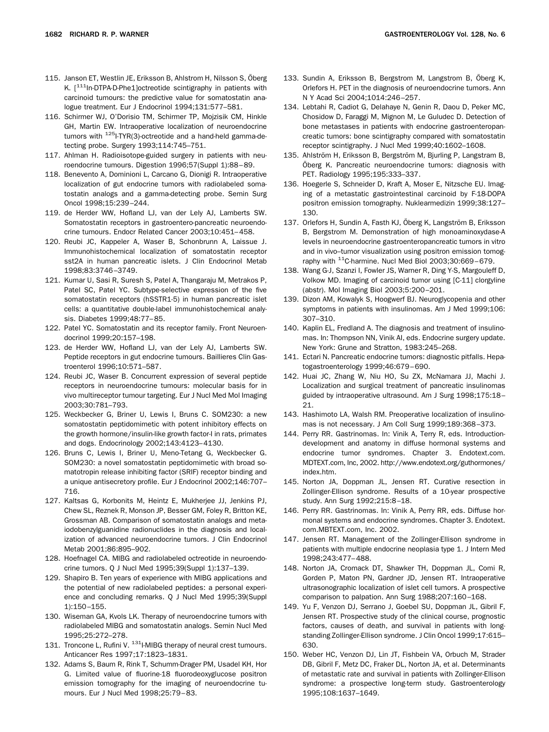- <span id="page-14-0"></span>115. Janson ET, Westlin JE, Eriksson B, Ahlstrom H, Nilsson S, Öberg K. [<sup>111</sup>In-DTPA-D-Phe1]octreotide scintigraphy in patients with carcinoid tumours: the predictive value for somatostatin analogue treatment. Eur J Endocrinol 1994;131:577–581.
- 116. Schirmer WJ, O'Dorisio TM, Schirmer TP, Mojzisik CM, Hinkle GH, Martin EW. Intraoperative localization of neuroendocrine tumors with <sup>125</sup>I-TYR(3)-octreotide and a hand-held gamma-detecting probe. Surgery 1993;114:745–751.
- 117. Ahlman H. Radioisotope-guided surgery in patients with neuroendocrine tumours. Digestion 1996;57(Suppl 1):88–89.
- 118. Benevento A, Dominioni L, Carcano G, Dionigi R. Intraoperative localization of gut endocrine tumors with radiolabeled somatostatin analogs and a gamma-detecting probe. Semin Surg Oncol 1998;15:239–244.
- 119. de Herder WW, Hofland LJ, van der Lely AJ, Lamberts SW. Somatostatin receptors in gastroentero-pancreatic neuroendocrine tumours. Endocr Related Cancer 2003;10:451–458.
- 120. Reubi JC, Kappeler A, Waser B, Schonbrunn A, Laissue J. Immunohistochemical localization of somatostatin receptor sst2A in human pancreatic islets. J Clin Endocrinol Metab 1998;83:3746–3749.
- 121. Kumar U, Sasi R, Suresh S, Patel A, Thangaraju M, Metrakos P, Patel SC, Patel YC. Subtype-selective expression of the five somatostatin receptors (hSSTR1-5) in human pancreatic islet cells: a quantitative double-label immunohistochemical analysis. Diabetes 1999;48:77–85.
- 122. Patel YC. Somatostatin and its receptor family. Front Neuroendocrinol 1999;20:157–198.
- 123. de Herder WW, Hofland LJ, van der Lely AJ, Lamberts SW. Peptide receptors in gut endocrine tumours. Baillieres Clin Gastroenterol 1996;10:571–587.
- 124. Reubi JC, Waser B. Concurrent expression of several peptide receptors in neuroendocrine tumours: molecular basis for in vivo multireceptor tumour targeting. Eur J Nucl Med Mol Imaging 2003;30:781–793.
- 125. Weckbecker G, Briner U, Lewis I, Bruns C. SOM230: a new somatostatin peptidomimetic with potent inhibitory effects on the growth hormone/insulin-like growth factor-I in rats, primates and dogs. Endocrinology 2002;143:4123–4130.
- 126. Bruns C, Lewis I, Briner U, Meno-Tetang G, Weckbecker G. SOM230: a novel somatostatin peptidomimetic with broad somatotropin release inhibiting factor (SRIF) receptor binding and a unique antisecretory profile. Eur J Endocrinol 2002;146:707– 716.
- 127. Kaltsas G, Korbonits M, Heintz E, Mukherjee JJ, Jenkins PJ, Chew SL, Reznek R, Monson JP, Besser GM, Foley R, Britton KE, Grossman AB. Comparison of somatostatin analogs and metaiodobenzylguanidine radionuclides in the diagnosis and localization of advanced neuroendocrine tumors. J Clin Endocrinol Metab 2001;86:895–902.
- 128. Hoefnagel CA. MIBG and radiolabeled octreotide in neuroendocrine tumors. Q J Nucl Med 1995;39(Suppl 1):137–139.
- 129. Shapiro B. Ten years of experience with MIBG applications and the potential of new radiolabeled peptides: a personal experience and concluding remarks. Q J Nucl Med 1995;39(Suppl 1):150–155.
- 130. Wiseman GA, Kvols LK. Therapy of neuroendocrine tumors with radiolabeled MIBG and somatostatin analogs. Semin Nucl Med 1995;25:272–278.
- 131. Troncone L, Rufini V. 131-MIBG therapy of neural crest tumours. Anticancer Res 1997;17:1823–1831.
- 132. Adams S, Baum R, Rink T, Schumm-Drager PM, Usadel KH, Hor G. Limited value of fluorine-18 fluorodeoxyglucose positron emission tomography for the imaging of neuroendocrine tumours. Eur J Nucl Med 1998;25:79–83.
- 133. Sundin A, Eriksson B, Bergstrom M, Langstrom B, Öberg K, Orlefors H. PET in the diagnosis of neuroendocrine tumors. Ann N Y Acad Sci 2004;1014:246–257.
- 134. Lebtahi R, Cadiot G, Delahaye N, Genin R, Daou D, Peker MC, Chosidow D, Faraggi M, Mignon M, Le Guludec D. Detection of bone metastases in patients with endocrine gastroenteropancreatic tumors: bone scintigraphy compared with somatostatin receptor scintigraphy. J Nucl Med 1999;40:1602–1608.
- 135. Ahlström H, Eriksson B, Bergström M, Bjurling P, Langstram B, Öberg K. Pancreatic neuroendocrine tumors: diagnosis with PET. Radiology 1995;195:333–337.
- 136. Hoegerle S, Schneider D, Kraft A, Moser E, Nitzsche EU. Imaging of a metastatic gastrointestinal carcinoid by F-18-DOPA positron emission tomography. Nuklearmedizin 1999;38:127– 130.
- 137. Orlefors H, Sundin A, Fasth KJ, Öberg K, Langström B, Eriksson B, Bergstrom M. Demonstration of high monoaminoxydase-A levels in neuroendocrine gastroenteropancreatic tumors in vitro and in vivo–tumor visualization using positron emission tomography with <sup>11</sup>C-harmine. Nucl Med Biol 2003;30:669-679.
- 138. Wang G-J, Szanzi I, Fowler JS, Warner R, Ding Y-S, Margouleff D, Volkow MD. Imaging of carcinoid tumor using [C-11] clorgyline (abstr). Mol Imaging Biol 2003;5:200–201.
- 139. Dizon AM, Kowalyk S, Hoogwerf BJ. Neuroglycopenia and other symptoms in patients with insulinomas. Am J Med 1999;106: 307–310.
- 140. Kaplin EL, Fredland A. The diagnosis and treatment of insulinomas. In: Thompson NN, Vinik AI, eds. Endocrine surgery update. New York: Grune and Stratton, 1983:245–268.
- 141. Ectari N. Pancreatic endocrine tumors: diagnostic pitfalls. Hepatogastroenterology 1999;46:679–690.
- 142. Huai JC, Zhang W, Niu HO, Su ZX, McNamara JJ, Machi J. Localization and surgical treatment of pancreatic insulinomas guided by intraoperative ultrasound. Am J Surg 1998;175:18– 21.
- 143. Hashimoto LA, Walsh RM. Preoperative localization of insulinomas is not necessary. J Am Coll Surg 1999;189:368–373.
- 144. Perry RR. Gastrinomas. In: Vinik A, Terry R, eds. Introductiondevelopment and anatomy in diffuse hormonal systems and endocrine tumor syndromes. Chapter 3. Endotext.com. MDTEXT.com, Inc, 2002. http://www.endotext.org/guthormones/ index.htm.
- 145. Norton JA, Doppman JL, Jensen RT. Curative resection in Zollinger-Ellison syndrome. Results of a 10-year prospective study. Ann Surg 1992;215:8–18.
- 146. Perry RR. Gastrinomas. In: Vinik A, Perry RR, eds. Diffuse hormonal systems and endocrine syndromes. Chapter 3. Endotext. com.MBTEXT.com, Inc. 2002.
- 147. Jensen RT. Management of the Zollinger-Ellison syndrome in patients with multiple endocrine neoplasia type 1. J Intern Med 1998;243:477–488.
- 148. Norton JA, Cromack DT, Shawker TH, Doppman JL, Comi R, Gorden P, Maton PN, Gardner JD, Jensen RT. Intraoperative ultrasonographic localization of islet cell tumors. A prospective comparison to palpation. Ann Surg 1988;207:160–168.
- 149. Yu F, Venzon DJ, Serrano J, Goebel SU, Doppman JL, Gibril F, Jensen RT. Prospective study of the clinical course, prognostic factors, causes of death, and survival in patients with longstanding Zollinger-Ellison syndrome. J Clin Oncol 1999;17:615– 630.
- 150. Weber HC, Venzon DJ, Lin JT, Fishbein VA, Orbuch M, Strader DB, Gibril F, Metz DC, Fraker DL, Norton JA, et al. Determinants of metastatic rate and survival in patients with Zollinger-Ellison syndrome: a prospective long-term study. Gastroenterology 1995;108:1637–1649.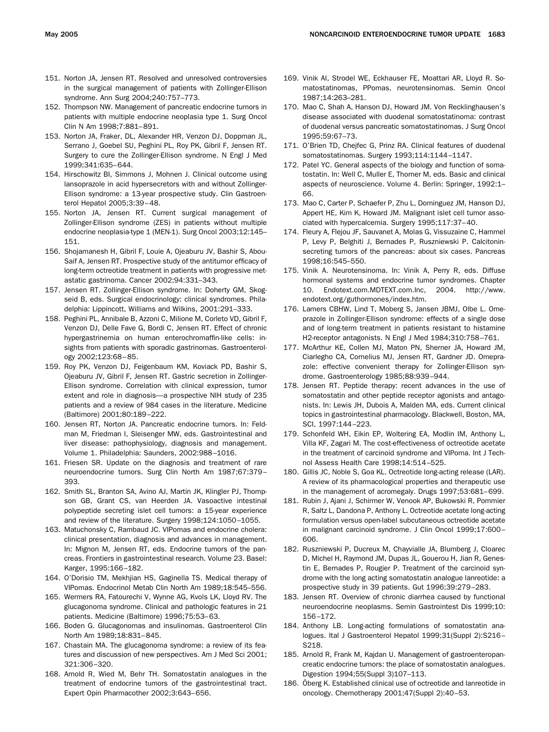- <span id="page-15-0"></span>151. Norton JA, Jensen RT. Resolved and unresolved controversies in the surgical management of patients with Zollinger-Ellison syndrome. Ann Surg 2004;240:757–773.
- 152. Thompson NW. Management of pancreatic endocrine tumors in patients with multiple endocrine neoplasia type 1. Surg Oncol Clin N Am 1998;7:881–891.
- 153. Norton JA, Fraker, DL, Alexander HR, Venzon DJ, Doppman JL, Serrano J, Goebel SU, Peghini PL, Roy PK, Gibril F, Jensen RT. Surgery to cure the Zollinger-Ellison syndrome. N Engl J Med 1999;341:635–644.
- 154. Hirschowitz BI, Simmons J, Mohnen J. Clinical outcome using lansoprazole in acid hypersecretors with and without Zollinger-Ellison syndrome: a 13-year prospective study. Clin Gastroenterol Hepatol 2005;3:39–48.
- 155. Norton JA, Jensen RT. Current surgical management of Zollinger-Ellison syndrome (ZES) in patients without multiple endocrine neoplasia-type 1 (MEN-1). Surg Oncol 2003;12:145– 151.
- 156. Shojamanesh H, Gibril F, Louie A, Ojeaburu JV, Bashir S, Abou-Saif A, Jensen RT. Prospective study of the antitumor efficacy of long-term octreotide treatment in patients with progressive metastatic gastrinoma. Cancer 2002;94:331–343.
- 157. Jensen RT. Zollinger-Ellison syndrome. In: Doherty GM, Skogseid B, eds. Surgical endocrinology: clinical syndromes. Philadelphia: Lippincott, Williams and Wilkins, 2001:291–333.
- 158. Peghini PL, Annibale B, Azzoni C, Milione M, Corleto VD, Gibril F, Venzon DJ, Delle Fave G, Bordi C, Jensen RT. Effect of chronic hypergastrinemia on human enterochromaffin-like cells: insights from patients with sporadic gastrinomas. Gastroenterology 2002;123:68–85.
- 159. Roy PK, Venzon DJ, Feigenbaum KM, Koviack PD, Bashir S, Ojeaburu JV, Gibril F, Jensen RT. Gastric secretion in Zollinger-Ellison syndrome. Correlation with clinical expression, tumor extent and role in diagnosis—a prospective NIH study of 235 patients and a review of 984 cases in the literature. Medicine (Baltimore) 2001;80:189–222.
- 160. Jensen RT, Norton JA. Pancreatic endocrine tumors. In: Feldman M, Friedman I, Sleisenger MW, eds. Gastrointestinal and liver disease: pathophysiology, diagnosis and management. Volume 1. Philadelphia: Saunders, 2002:988–1016.
- 161. Friesen SR. Update on the diagnosis and treatment of rare neuroendocrine tumors. Surg Clin North Am 1987;67:379– 393.
- 162. Smith SL, Branton SA, Avino AJ, Martin JK, Klingler PJ, Thompson GB, Grant CS, van Heerden JA. Vasoactive intestinal polypeptide secreting islet cell tumors: a 15-year experience and review of the literature. Surgery 1998;124:1050–1055.
- 163. Matuchonsky C, Rambaud JC. VIPomas and endocrine cholera: clinical presentation, diagnosis and advances in management. In: Mignon M, Jensen RT, eds. Endocrine tumors of the pancreas. Frontiers in gastrointestinal research. Volume 23. Basel: Karger, 1995:166–182.
- 164. O'Dorisio TM, Mekhjian HS, Gaginella TS. Medical therapy of VIPomas. Endocrinol Metab Clin North Am 1989;18:545–556.
- 165. Wermers RA, Fatourechi V, Wynne AG, Kvols LK, Lloyd RV. The glucagonoma syndrome. Clinical and pathologic features in 21 patients. Medicine (Baltimore) 1996;75:53–63.
- 166. Boden G. Glucagonomas and insulinomas. Gastroenterol Clin North Am 1989;18:831–845.
- 167. Chastain MA. The glucagonoma syndrome: a review of its features and discussion of new perspectives. Am J Med Sci 2001; 321:306–320.
- 168. Arnold R, Wied M, Behr TH. Somatostatin analogues in the treatment of endocrine tumors of the gastrointestinal tract. Expert Opin Pharmacother 2002;3:643–656.
- 169. Vinik AI, Strodel WE, Eckhauser FE, Moattari AR, Lloyd R. Somatostatinomas, PPomas, neurotensinomas. Semin Oncol 1987;14:263–281.
- 170. Mao C, Shah A, Hanson DJ, Howard JM. Von Recklinghausen's disease associated with duodenal somatostatinoma: contrast of duodenal versus pancreatic somatostatinomas. J Surg Oncol 1995;59:67–73.
- 171. O'Brien TD, Chejfec G, Prinz RA. Clinical features of duodenal somatostatinomas. Surgery 1993;114:1144–1147.
- 172. Patel YC. General aspects of the biology and function of somatostatin. In: Well C, Muller E, Thorner M, eds. Basic and clinical aspects of neuroscience. Volume 4. Berlin: Springer, 1992:1– 66.
- 173. Mao C, Carter P, Schaefer P, Zhu L, Dominguez JM, Hanson DJ, Appert HE, Kim K, Howard JM. Malignant islet cell tumor associated with hypercalcemia. Surgery 1995;117:37–40.
- 174. Fleury A, Flejou JF, Sauvanet A, Molas G, Vissuzaine C, Hammel P, Levy P, Belghiti J, Bernades P, Ruszniewski P. Calcitoninsecreting tumors of the pancreas: about six cases. Pancreas 1998;16:545–550.
- 175. Vinik A. Neurotensinoma. In: Vinik A, Perry R, eds. Diffuse hormonal systems and endocrine tumor syndromes. Chapter 10. Endotext.com.MDTEXT.com.Inc, 2004. http://www. endotext.org/guthormones/index.htm.
- 176. Lamers CBHW, Lind T, Moberg S, Jansen JBMJ, Olbe L. Omeprazole in Zollinger-Ellison syndrome: effects of a single dose and of long-term treatment in patients resistant to histamine H2-receptor antagonists. N Engl J Med 1984;310:758–761.
- 177. McArthur KE, Collen MJ, Maton PN, Sherner JA, Howard JM, Ciarlegho CA, Cornelius MJ, Jensen RT, Gardner JD. Omeprazole: effective convenient therapy for Zollinger-Ellison syndrome. Gastroenterology 1985;88:939–944.
- 178. Jensen RT. Peptide therapy: recent advances in the use of somatostatin and other peptide receptor agonists and antagonists. In: Lewis JH, Dubois A, Malden MA, eds. Current clinical topics in gastrointestinal pharmacology. Blackwell, Boston, MA, SCI, 1997:144–223.
- 179. Schonfeld WH, Eikin EP, Woltering EA, Modlin IM, Anthony L, Villa KF, Zagari M. The cost-effectiveness of octreotide acetate in the treatment of carcinoid syndrome and VIPoma. Int J Technol Assess Health Care 1998;14:514–525.
- 180. Gillis JC, Noble S, Goa KL. Octreotide long-acting release (LAR). A review of its pharmacological properties and therapeutic use in the management of acromegaly. Drugs 1997;53:681–699.
- 181. Rubin J, Ajani J, Schirmer W, Venook AP, Bukowski R, Pommier R, Saltz L, Dandona P, Anthony L. Octreotide acetate long-acting formulation versus open-label subcutaneous octreotide acetate in malignant carcinoid syndrome. J Clin Oncol 1999;17:600– 606.
- 182. Ruszniewski P, Ducreux M, Chayvialle JA, Blumberg J, Cloarec D, Michel H, Raymond JM, Dupas JL, Gouerou H, Jian R, Genestin E, Bernades P, Rougier P. Treatment of the carcinoid syndrome with the long acting somatostatin analogue lanreotide: a prospective study in 39 patients. Gut 1996;39:279–283.
- 183. Jensen RT. Overview of chronic diarrhea caused by functional neuroendocrine neoplasms. Semin Gastrointest Dis 1999;10: 156–172.
- 184. Anthony LB. Long-acting formulations of somatostatin analogues. Ital J Gastroenterol Hepatol 1999;31(Suppl 2):S216– S218.
- 185. Arnold R, Frank M, Kajdan U. Management of gastroenteropancreatic endocrine tumors: the place of somatostatin analogues. Digestion 1994;55(Suppl 3)107–113.
- 186. Öberg K. Established clinical use of octreotide and lanreotide in oncology. Chemotherapy 2001;47(Suppl 2):40–53.